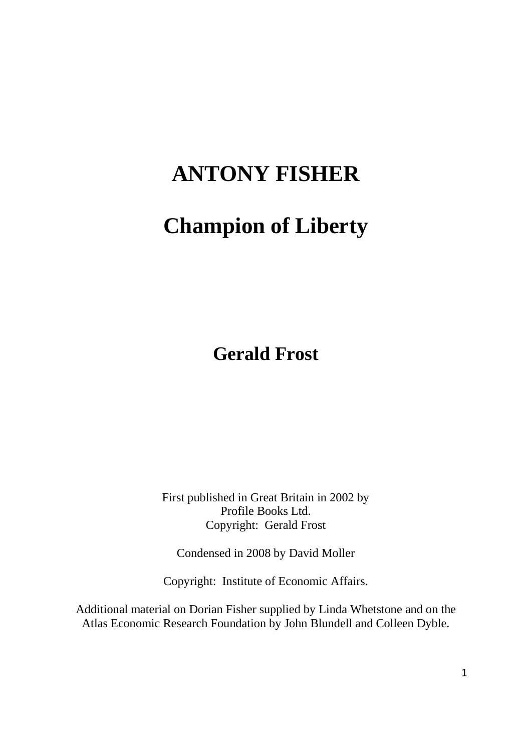# **ANTONY FISHER**

# **Champion of Liberty**

**Gerald Frost** 

First published in Great Britain in 2002 by Profile Books Ltd. Copyright: Gerald Frost

Condensed in 2008 by David Moller

Copyright: Institute of Economic Affairs.

Additional material on Dorian Fisher supplied by Linda Whetstone and on the Atlas Economic Research Foundation by John Blundell and Colleen Dyble.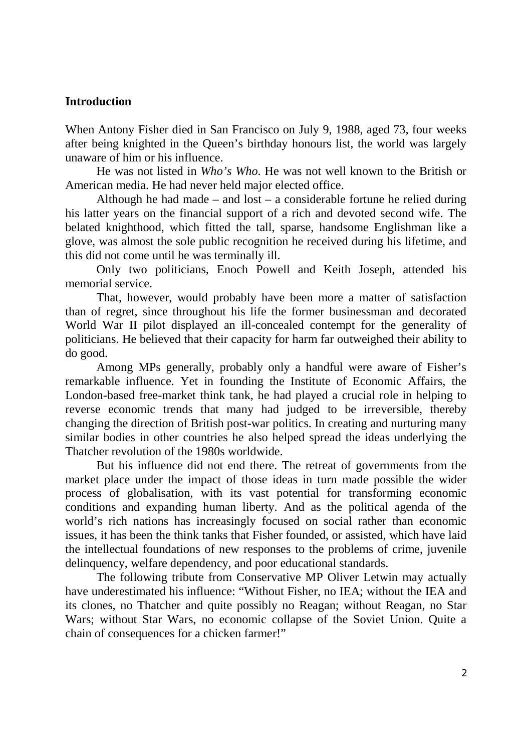### **Introduction**

When Antony Fisher died in San Francisco on July 9, 1988, aged 73, four weeks after being knighted in the Queen's birthday honours list, the world was largely unaware of him or his influence.

He was not listed in *Who's Who*. He was not well known to the British or American media. He had never held major elected office.

Although he had made – and lost – a considerable fortune he relied during his latter years on the financial support of a rich and devoted second wife. The belated knighthood, which fitted the tall, sparse, handsome Englishman like a glove, was almost the sole public recognition he received during his lifetime, and this did not come until he was terminally ill.

Only two politicians, Enoch Powell and Keith Joseph, attended his memorial service.

That, however, would probably have been more a matter of satisfaction than of regret, since throughout his life the former businessman and decorated World War II pilot displayed an ill-concealed contempt for the generality of politicians. He believed that their capacity for harm far outweighed their ability to do good.

Among MPs generally, probably only a handful were aware of Fisher's remarkable influence. Yet in founding the Institute of Economic Affairs, the London-based free-market think tank, he had played a crucial role in helping to reverse economic trends that many had judged to be irreversible, thereby changing the direction of British post-war politics. In creating and nurturing many similar bodies in other countries he also helped spread the ideas underlying the Thatcher revolution of the 1980s worldwide.

But his influence did not end there. The retreat of governments from the market place under the impact of those ideas in turn made possible the wider process of globalisation, with its vast potential for transforming economic conditions and expanding human liberty. And as the political agenda of the world's rich nations has increasingly focused on social rather than economic issues, it has been the think tanks that Fisher founded, or assisted, which have laid the intellectual foundations of new responses to the problems of crime, juvenile delinquency, welfare dependency, and poor educational standards.

The following tribute from Conservative MP Oliver Letwin may actually have underestimated his influence: "Without Fisher, no IEA; without the IEA and its clones, no Thatcher and quite possibly no Reagan; without Reagan, no Star Wars; without Star Wars, no economic collapse of the Soviet Union. Quite a chain of consequences for a chicken farmer!"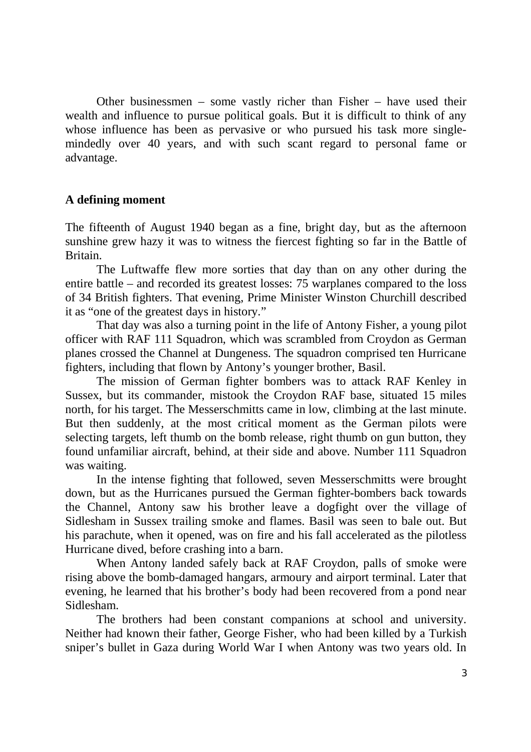Other businessmen – some vastly richer than Fisher – have used their wealth and influence to pursue political goals. But it is difficult to think of any whose influence has been as pervasive or who pursued his task more singlemindedly over 40 years, and with such scant regard to personal fame or advantage.

## **A defining moment**

The fifteenth of August 1940 began as a fine, bright day, but as the afternoon sunshine grew hazy it was to witness the fiercest fighting so far in the Battle of Britain.

 The Luftwaffe flew more sorties that day than on any other during the entire battle – and recorded its greatest losses: 75 warplanes compared to the loss of 34 British fighters. That evening, Prime Minister Winston Churchill described it as "one of the greatest days in history."

That day was also a turning point in the life of Antony Fisher, a young pilot officer with RAF 111 Squadron, which was scrambled from Croydon as German planes crossed the Channel at Dungeness. The squadron comprised ten Hurricane fighters, including that flown by Antony's younger brother, Basil.

 The mission of German fighter bombers was to attack RAF Kenley in Sussex, but its commander, mistook the Croydon RAF base, situated 15 miles north, for his target. The Messerschmitts came in low, climbing at the last minute. But then suddenly, at the most critical moment as the German pilots were selecting targets, left thumb on the bomb release, right thumb on gun button, they found unfamiliar aircraft, behind, at their side and above. Number 111 Squadron was waiting.

In the intense fighting that followed, seven Messerschmitts were brought down, but as the Hurricanes pursued the German fighter-bombers back towards the Channel, Antony saw his brother leave a dogfight over the village of Sidlesham in Sussex trailing smoke and flames. Basil was seen to bale out. But his parachute, when it opened, was on fire and his fall accelerated as the pilotless Hurricane dived, before crashing into a barn.

When Antony landed safely back at RAF Croydon, palls of smoke were rising above the bomb-damaged hangars, armoury and airport terminal. Later that evening, he learned that his brother's body had been recovered from a pond near Sidlesham.

The brothers had been constant companions at school and university. Neither had known their father, George Fisher, who had been killed by a Turkish sniper's bullet in Gaza during World War I when Antony was two years old. In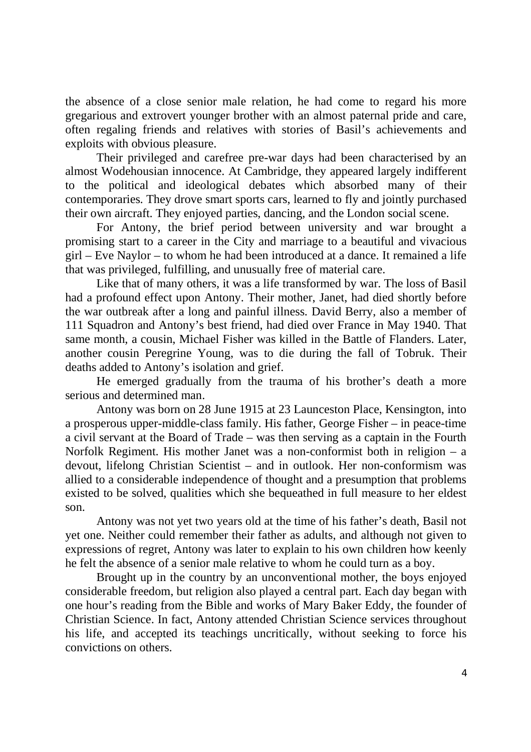the absence of a close senior male relation, he had come to regard his more gregarious and extrovert younger brother with an almost paternal pride and care, often regaling friends and relatives with stories of Basil's achievements and exploits with obvious pleasure.

Their privileged and carefree pre-war days had been characterised by an almost Wodehousian innocence. At Cambridge, they appeared largely indifferent to the political and ideological debates which absorbed many of their contemporaries. They drove smart sports cars, learned to fly and jointly purchased their own aircraft. They enjoyed parties, dancing, and the London social scene.

For Antony, the brief period between university and war brought a promising start to a career in the City and marriage to a beautiful and vivacious girl – Eve Naylor – to whom he had been introduced at a dance. It remained a life that was privileged, fulfilling, and unusually free of material care.

Like that of many others, it was a life transformed by war. The loss of Basil had a profound effect upon Antony. Their mother, Janet, had died shortly before the war outbreak after a long and painful illness. David Berry, also a member of 111 Squadron and Antony's best friend, had died over France in May 1940. That same month, a cousin, Michael Fisher was killed in the Battle of Flanders. Later, another cousin Peregrine Young, was to die during the fall of Tobruk. Their deaths added to Antony's isolation and grief.

He emerged gradually from the trauma of his brother's death a more serious and determined man.

Antony was born on 28 June 1915 at 23 Launceston Place, Kensington, into a prosperous upper-middle-class family. His father, George Fisher – in peace-time a civil servant at the Board of Trade – was then serving as a captain in the Fourth Norfolk Regiment. His mother Janet was a non-conformist both in religion – a devout, lifelong Christian Scientist – and in outlook. Her non-conformism was allied to a considerable independence of thought and a presumption that problems existed to be solved, qualities which she bequeathed in full measure to her eldest son.

Antony was not yet two years old at the time of his father's death, Basil not yet one. Neither could remember their father as adults, and although not given to expressions of regret, Antony was later to explain to his own children how keenly he felt the absence of a senior male relative to whom he could turn as a boy.

Brought up in the country by an unconventional mother, the boys enjoyed considerable freedom, but religion also played a central part. Each day began with one hour's reading from the Bible and works of Mary Baker Eddy, the founder of Christian Science. In fact, Antony attended Christian Science services throughout his life, and accepted its teachings uncritically, without seeking to force his convictions on others.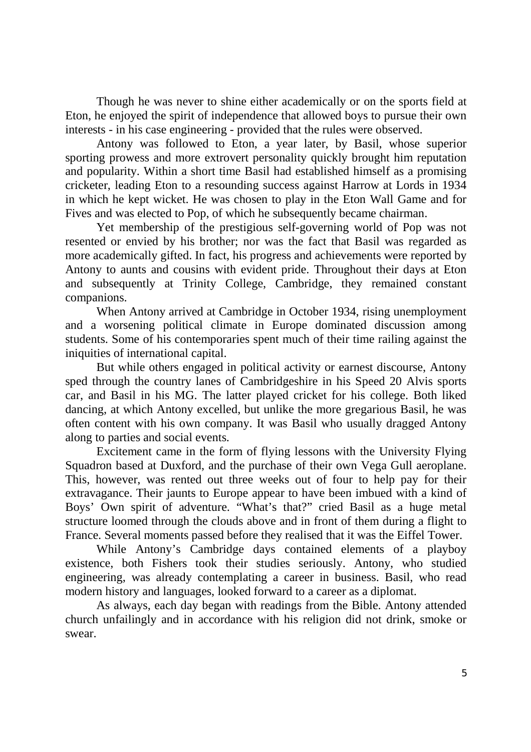Though he was never to shine either academically or on the sports field at Eton, he enjoyed the spirit of independence that allowed boys to pursue their own interests - in his case engineering - provided that the rules were observed.

Antony was followed to Eton, a year later, by Basil, whose superior sporting prowess and more extrovert personality quickly brought him reputation and popularity. Within a short time Basil had established himself as a promising cricketer, leading Eton to a resounding success against Harrow at Lords in 1934 in which he kept wicket. He was chosen to play in the Eton Wall Game and for Fives and was elected to Pop, of which he subsequently became chairman.

Yet membership of the prestigious self-governing world of Pop was not resented or envied by his brother; nor was the fact that Basil was regarded as more academically gifted. In fact, his progress and achievements were reported by Antony to aunts and cousins with evident pride. Throughout their days at Eton and subsequently at Trinity College, Cambridge, they remained constant companions.

When Antony arrived at Cambridge in October 1934, rising unemployment and a worsening political climate in Europe dominated discussion among students. Some of his contemporaries spent much of their time railing against the iniquities of international capital.

But while others engaged in political activity or earnest discourse, Antony sped through the country lanes of Cambridgeshire in his Speed 20 Alvis sports car, and Basil in his MG. The latter played cricket for his college. Both liked dancing, at which Antony excelled, but unlike the more gregarious Basil, he was often content with his own company. It was Basil who usually dragged Antony along to parties and social events.

Excitement came in the form of flying lessons with the University Flying Squadron based at Duxford, and the purchase of their own Vega Gull aeroplane. This, however, was rented out three weeks out of four to help pay for their extravagance. Their jaunts to Europe appear to have been imbued with a kind of Boys' Own spirit of adventure. "What's that?" cried Basil as a huge metal structure loomed through the clouds above and in front of them during a flight to France. Several moments passed before they realised that it was the Eiffel Tower.

While Antony's Cambridge days contained elements of a playboy existence, both Fishers took their studies seriously. Antony, who studied engineering, was already contemplating a career in business. Basil, who read modern history and languages, looked forward to a career as a diplomat.

As always, each day began with readings from the Bible. Antony attended church unfailingly and in accordance with his religion did not drink, smoke or swear.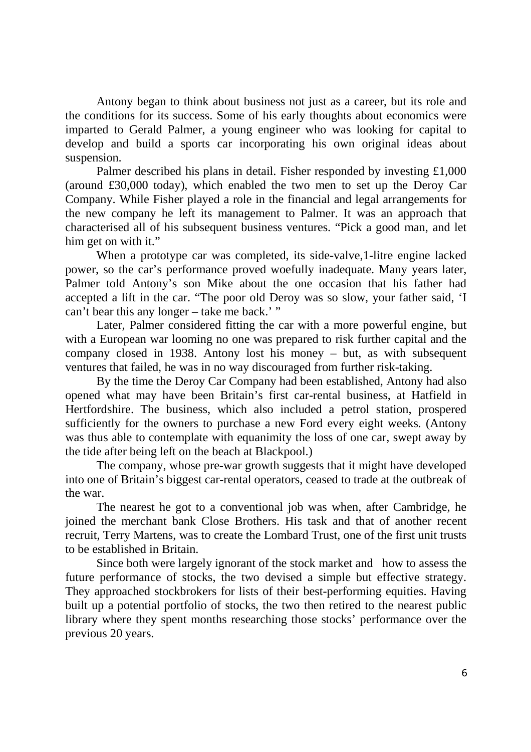Antony began to think about business not just as a career, but its role and the conditions for its success. Some of his early thoughts about economics were imparted to Gerald Palmer, a young engineer who was looking for capital to develop and build a sports car incorporating his own original ideas about suspension.

Palmer described his plans in detail. Fisher responded by investing £1,000 (around £30,000 today), which enabled the two men to set up the Deroy Car Company. While Fisher played a role in the financial and legal arrangements for the new company he left its management to Palmer. It was an approach that characterised all of his subsequent business ventures. "Pick a good man, and let him get on with it."

When a prototype car was completed, its side-valve,1-litre engine lacked power, so the car's performance proved woefully inadequate. Many years later, Palmer told Antony's son Mike about the one occasion that his father had accepted a lift in the car. "The poor old Deroy was so slow, your father said, 'I can't bear this any longer – take me back.' "

Later, Palmer considered fitting the car with a more powerful engine, but with a European war looming no one was prepared to risk further capital and the company closed in 1938. Antony lost his money – but, as with subsequent ventures that failed, he was in no way discouraged from further risk-taking.

By the time the Deroy Car Company had been established, Antony had also opened what may have been Britain's first car-rental business, at Hatfield in Hertfordshire. The business, which also included a petrol station, prospered sufficiently for the owners to purchase a new Ford every eight weeks. (Antony was thus able to contemplate with equanimity the loss of one car, swept away by the tide after being left on the beach at Blackpool.)

The company, whose pre-war growth suggests that it might have developed into one of Britain's biggest car-rental operators, ceased to trade at the outbreak of the war.

The nearest he got to a conventional job was when, after Cambridge, he joined the merchant bank Close Brothers. His task and that of another recent recruit, Terry Martens, was to create the Lombard Trust, one of the first unit trusts to be established in Britain.

Since both were largely ignorant of the stock market and how to assess the future performance of stocks, the two devised a simple but effective strategy. They approached stockbrokers for lists of their best-performing equities. Having built up a potential portfolio of stocks, the two then retired to the nearest public library where they spent months researching those stocks' performance over the previous 20 years.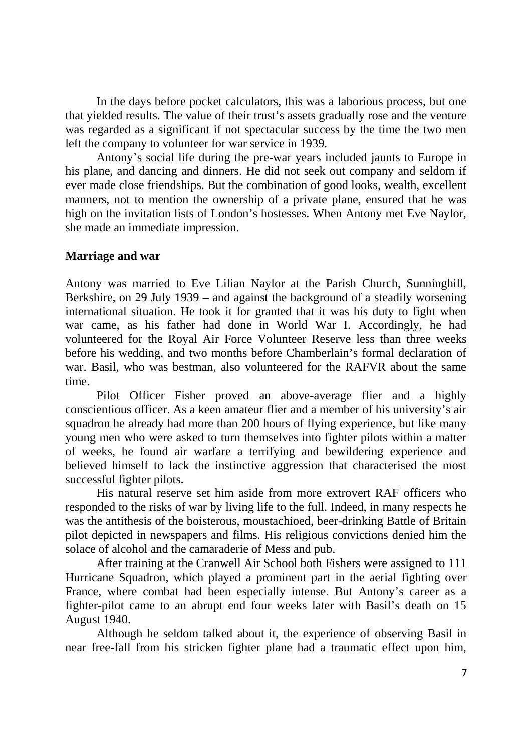In the days before pocket calculators, this was a laborious process, but one that yielded results. The value of their trust's assets gradually rose and the venture was regarded as a significant if not spectacular success by the time the two men left the company to volunteer for war service in 1939.

Antony's social life during the pre-war years included jaunts to Europe in his plane, and dancing and dinners. He did not seek out company and seldom if ever made close friendships. But the combination of good looks, wealth, excellent manners, not to mention the ownership of a private plane, ensured that he was high on the invitation lists of London's hostesses. When Antony met Eve Naylor, she made an immediate impression.

#### **Marriage and war**

Antony was married to Eve Lilian Naylor at the Parish Church, Sunninghill, Berkshire, on 29 July 1939 – and against the background of a steadily worsening international situation. He took it for granted that it was his duty to fight when war came, as his father had done in World War I. Accordingly, he had volunteered for the Royal Air Force Volunteer Reserve less than three weeks before his wedding, and two months before Chamberlain's formal declaration of war. Basil, who was bestman, also volunteered for the RAFVR about the same time.

Pilot Officer Fisher proved an above-average flier and a highly conscientious officer. As a keen amateur flier and a member of his university's air squadron he already had more than 200 hours of flying experience, but like many young men who were asked to turn themselves into fighter pilots within a matter of weeks, he found air warfare a terrifying and bewildering experience and believed himself to lack the instinctive aggression that characterised the most successful fighter pilots.

His natural reserve set him aside from more extrovert RAF officers who responded to the risks of war by living life to the full. Indeed, in many respects he was the antithesis of the boisterous, moustachioed, beer-drinking Battle of Britain pilot depicted in newspapers and films. His religious convictions denied him the solace of alcohol and the camaraderie of Mess and pub.

After training at the Cranwell Air School both Fishers were assigned to 111 Hurricane Squadron, which played a prominent part in the aerial fighting over France, where combat had been especially intense. But Antony's career as a fighter-pilot came to an abrupt end four weeks later with Basil's death on 15 August 1940.

Although he seldom talked about it, the experience of observing Basil in near free-fall from his stricken fighter plane had a traumatic effect upon him,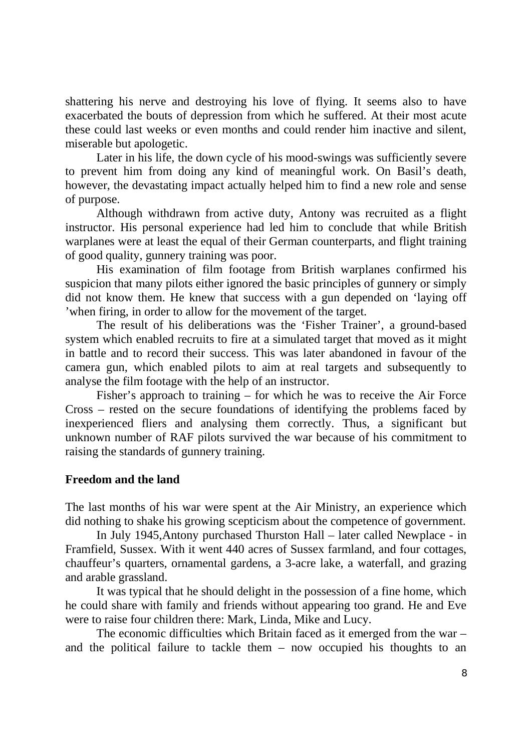shattering his nerve and destroying his love of flying. It seems also to have exacerbated the bouts of depression from which he suffered. At their most acute these could last weeks or even months and could render him inactive and silent, miserable but apologetic.

Later in his life, the down cycle of his mood-swings was sufficiently severe to prevent him from doing any kind of meaningful work. On Basil's death, however, the devastating impact actually helped him to find a new role and sense of purpose.

 Although withdrawn from active duty, Antony was recruited as a flight instructor. His personal experience had led him to conclude that while British warplanes were at least the equal of their German counterparts, and flight training of good quality, gunnery training was poor.

His examination of film footage from British warplanes confirmed his suspicion that many pilots either ignored the basic principles of gunnery or simply did not know them. He knew that success with a gun depended on 'laying off 'when firing, in order to allow for the movement of the target.

The result of his deliberations was the 'Fisher Trainer', a ground-based system which enabled recruits to fire at a simulated target that moved as it might in battle and to record their success. This was later abandoned in favour of the camera gun, which enabled pilots to aim at real targets and subsequently to analyse the film footage with the help of an instructor.

Fisher's approach to training – for which he was to receive the Air Force Cross – rested on the secure foundations of identifying the problems faced by inexperienced fliers and analysing them correctly. Thus, a significant but unknown number of RAF pilots survived the war because of his commitment to raising the standards of gunnery training.

### **Freedom and the land**

The last months of his war were spent at the Air Ministry, an experience which did nothing to shake his growing scepticism about the competence of government.

In July 1945,Antony purchased Thurston Hall – later called Newplace - in Framfield, Sussex. With it went 440 acres of Sussex farmland, and four cottages, chauffeur's quarters, ornamental gardens, a 3-acre lake, a waterfall, and grazing and arable grassland.

It was typical that he should delight in the possession of a fine home, which he could share with family and friends without appearing too grand. He and Eve were to raise four children there: Mark, Linda, Mike and Lucy.

The economic difficulties which Britain faced as it emerged from the war – and the political failure to tackle them – now occupied his thoughts to an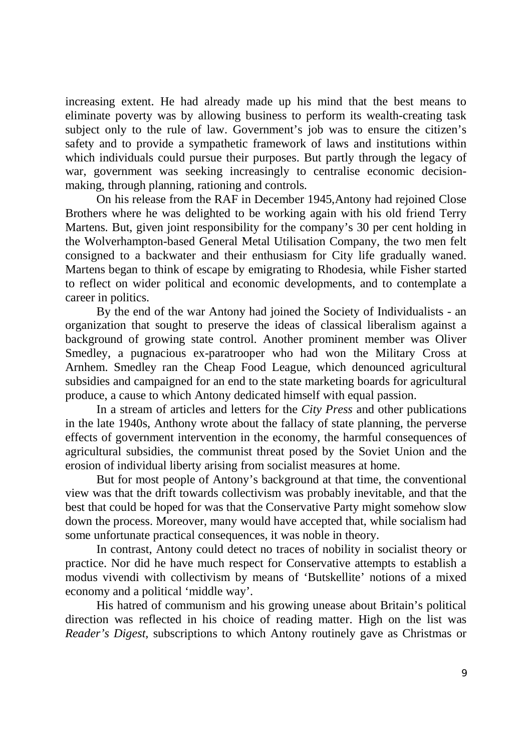increasing extent. He had already made up his mind that the best means to eliminate poverty was by allowing business to perform its wealth-creating task subject only to the rule of law. Government's job was to ensure the citizen's safety and to provide a sympathetic framework of laws and institutions within which individuals could pursue their purposes. But partly through the legacy of war, government was seeking increasingly to centralise economic decisionmaking, through planning, rationing and controls.

 On his release from the RAF in December 1945,Antony had rejoined Close Brothers where he was delighted to be working again with his old friend Terry Martens. But, given joint responsibility for the company's 30 per cent holding in the Wolverhampton-based General Metal Utilisation Company, the two men felt consigned to a backwater and their enthusiasm for City life gradually waned. Martens began to think of escape by emigrating to Rhodesia, while Fisher started to reflect on wider political and economic developments, and to contemplate a career in politics.

By the end of the war Antony had joined the Society of Individualists - an organization that sought to preserve the ideas of classical liberalism against a background of growing state control. Another prominent member was Oliver Smedley, a pugnacious ex-paratrooper who had won the Military Cross at Arnhem. Smedley ran the Cheap Food League, which denounced agricultural subsidies and campaigned for an end to the state marketing boards for agricultural produce, a cause to which Antony dedicated himself with equal passion.

In a stream of articles and letters for the *City Press* and other publications in the late 1940s, Anthony wrote about the fallacy of state planning, the perverse effects of government intervention in the economy, the harmful consequences of agricultural subsidies, the communist threat posed by the Soviet Union and the erosion of individual liberty arising from socialist measures at home.

But for most people of Antony's background at that time, the conventional view was that the drift towards collectivism was probably inevitable, and that the best that could be hoped for was that the Conservative Party might somehow slow down the process. Moreover, many would have accepted that, while socialism had some unfortunate practical consequences, it was noble in theory.

In contrast, Antony could detect no traces of nobility in socialist theory or practice. Nor did he have much respect for Conservative attempts to establish a modus vivendi with collectivism by means of 'Butskellite' notions of a mixed economy and a political 'middle way'.

His hatred of communism and his growing unease about Britain's political direction was reflected in his choice of reading matter. High on the list was *Reader's Digest,* subscriptions to which Antony routinely gave as Christmas or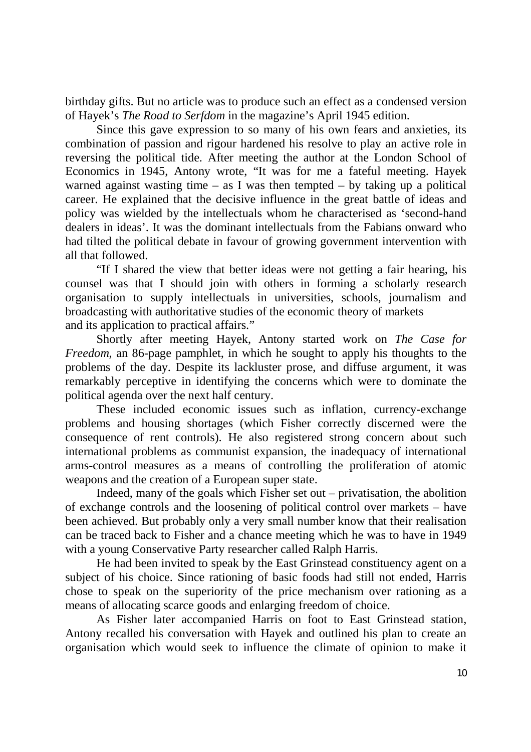birthday gifts. But no article was to produce such an effect as a condensed version of Hayek's *The Road to Serfdom* in the magazine's April 1945 edition.

Since this gave expression to so many of his own fears and anxieties, its combination of passion and rigour hardened his resolve to play an active role in reversing the political tide. After meeting the author at the London School of Economics in 1945, Antony wrote, "It was for me a fateful meeting. Hayek warned against wasting time – as I was then tempted – by taking up a political career. He explained that the decisive influence in the great battle of ideas and policy was wielded by the intellectuals whom he characterised as 'second-hand dealers in ideas'. It was the dominant intellectuals from the Fabians onward who had tilted the political debate in favour of growing government intervention with all that followed.

"If I shared the view that better ideas were not getting a fair hearing, his counsel was that I should join with others in forming a scholarly research organisation to supply intellectuals in universities, schools, journalism and broadcasting with authoritative studies of the economic theory of markets and its application to practical affairs."

Shortly after meeting Hayek, Antony started work on *The Case for Freedom*, an 86-page pamphlet, in which he sought to apply his thoughts to the problems of the day. Despite its lackluster prose, and diffuse argument, it was remarkably perceptive in identifying the concerns which were to dominate the political agenda over the next half century.

These included economic issues such as inflation, currency-exchange problems and housing shortages (which Fisher correctly discerned were the consequence of rent controls). He also registered strong concern about such international problems as communist expansion, the inadequacy of international arms-control measures as a means of controlling the proliferation of atomic weapons and the creation of a European super state.

Indeed, many of the goals which Fisher set out – privatisation, the abolition of exchange controls and the loosening of political control over markets – have been achieved. But probably only a very small number know that their realisation can be traced back to Fisher and a chance meeting which he was to have in 1949 with a young Conservative Party researcher called Ralph Harris.

He had been invited to speak by the East Grinstead constituency agent on a subject of his choice. Since rationing of basic foods had still not ended, Harris chose to speak on the superiority of the price mechanism over rationing as a means of allocating scarce goods and enlarging freedom of choice.

As Fisher later accompanied Harris on foot to East Grinstead station, Antony recalled his conversation with Hayek and outlined his plan to create an organisation which would seek to influence the climate of opinion to make it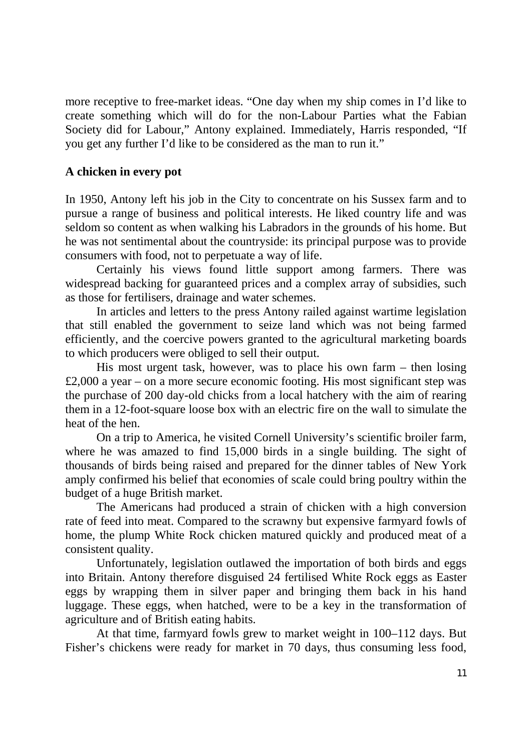more receptive to free-market ideas. "One day when my ship comes in I'd like to create something which will do for the non-Labour Parties what the Fabian Society did for Labour," Antony explained. Immediately, Harris responded, "If you get any further I'd like to be considered as the man to run it."

## **A chicken in every pot**

In 1950, Antony left his job in the City to concentrate on his Sussex farm and to pursue a range of business and political interests. He liked country life and was seldom so content as when walking his Labradors in the grounds of his home. But he was not sentimental about the countryside: its principal purpose was to provide consumers with food, not to perpetuate a way of life.

Certainly his views found little support among farmers. There was widespread backing for guaranteed prices and a complex array of subsidies, such as those for fertilisers, drainage and water schemes.

In articles and letters to the press Antony railed against wartime legislation that still enabled the government to seize land which was not being farmed efficiently, and the coercive powers granted to the agricultural marketing boards to which producers were obliged to sell their output.

His most urgent task, however, was to place his own farm – then losing £2,000 a year – on a more secure economic footing. His most significant step was the purchase of 200 day-old chicks from a local hatchery with the aim of rearing them in a 12-foot-square loose box with an electric fire on the wall to simulate the heat of the hen.

On a trip to America, he visited Cornell University's scientific broiler farm, where he was amazed to find 15,000 birds in a single building. The sight of thousands of birds being raised and prepared for the dinner tables of New York amply confirmed his belief that economies of scale could bring poultry within the budget of a huge British market.

The Americans had produced a strain of chicken with a high conversion rate of feed into meat. Compared to the scrawny but expensive farmyard fowls of home, the plump White Rock chicken matured quickly and produced meat of a consistent quality.

Unfortunately, legislation outlawed the importation of both birds and eggs into Britain. Antony therefore disguised 24 fertilised White Rock eggs as Easter eggs by wrapping them in silver paper and bringing them back in his hand luggage. These eggs, when hatched, were to be a key in the transformation of agriculture and of British eating habits.

At that time, farmyard fowls grew to market weight in 100–112 days. But Fisher's chickens were ready for market in 70 days, thus consuming less food,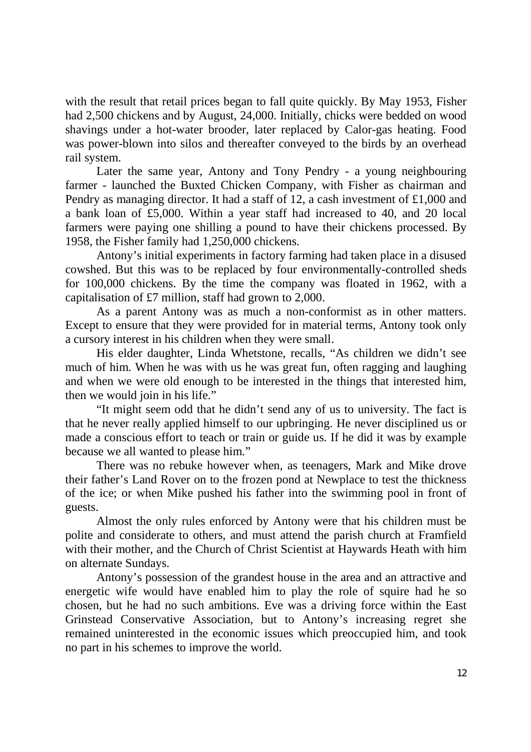with the result that retail prices began to fall quite quickly. By May 1953, Fisher had 2,500 chickens and by August, 24,000. Initially, chicks were bedded on wood shavings under a hot-water brooder, later replaced by Calor-gas heating. Food was power-blown into silos and thereafter conveyed to the birds by an overhead rail system.

Later the same year, Antony and Tony Pendry - a young neighbouring farmer - launched the Buxted Chicken Company, with Fisher as chairman and Pendry as managing director. It had a staff of 12, a cash investment of £1,000 and a bank loan of £5,000. Within a year staff had increased to 40, and 20 local farmers were paying one shilling a pound to have their chickens processed. By 1958, the Fisher family had 1,250,000 chickens.

Antony's initial experiments in factory farming had taken place in a disused cowshed. But this was to be replaced by four environmentally-controlled sheds for 100,000 chickens. By the time the company was floated in 1962, with a capitalisation of £7 million, staff had grown to 2,000.

As a parent Antony was as much a non-conformist as in other matters. Except to ensure that they were provided for in material terms, Antony took only a cursory interest in his children when they were small.

His elder daughter, Linda Whetstone, recalls, "As children we didn't see much of him. When he was with us he was great fun, often ragging and laughing and when we were old enough to be interested in the things that interested him, then we would join in his life."

"It might seem odd that he didn't send any of us to university. The fact is that he never really applied himself to our upbringing. He never disciplined us or made a conscious effort to teach or train or guide us. If he did it was by example because we all wanted to please him."

There was no rebuke however when, as teenagers, Mark and Mike drove their father's Land Rover on to the frozen pond at Newplace to test the thickness of the ice; or when Mike pushed his father into the swimming pool in front of guests.

Almost the only rules enforced by Antony were that his children must be polite and considerate to others, and must attend the parish church at Framfield with their mother, and the Church of Christ Scientist at Haywards Heath with him on alternate Sundays.

Antony's possession of the grandest house in the area and an attractive and energetic wife would have enabled him to play the role of squire had he so chosen, but he had no such ambitions. Eve was a driving force within the East Grinstead Conservative Association, but to Antony's increasing regret she remained uninterested in the economic issues which preoccupied him, and took no part in his schemes to improve the world.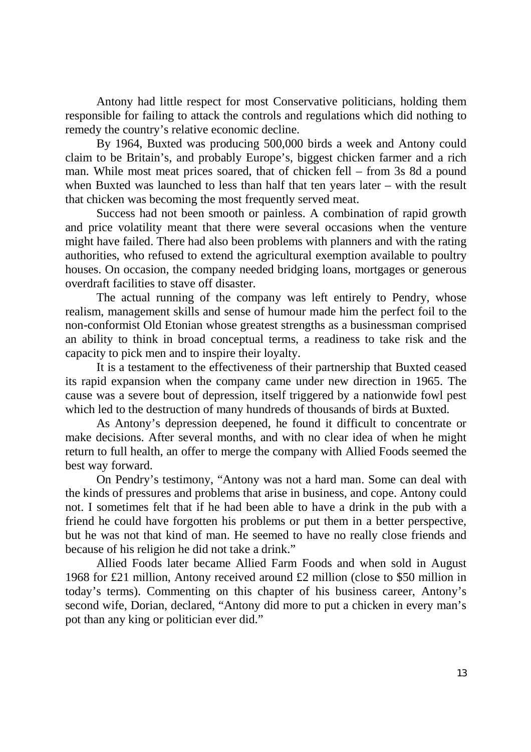Antony had little respect for most Conservative politicians, holding them responsible for failing to attack the controls and regulations which did nothing to remedy the country's relative economic decline.

By 1964, Buxted was producing 500,000 birds a week and Antony could claim to be Britain's, and probably Europe's, biggest chicken farmer and a rich man. While most meat prices soared, that of chicken fell – from 3s 8d a pound when Buxted was launched to less than half that ten years later – with the result that chicken was becoming the most frequently served meat.

Success had not been smooth or painless. A combination of rapid growth and price volatility meant that there were several occasions when the venture might have failed. There had also been problems with planners and with the rating authorities, who refused to extend the agricultural exemption available to poultry houses. On occasion, the company needed bridging loans, mortgages or generous overdraft facilities to stave off disaster.

The actual running of the company was left entirely to Pendry, whose realism, management skills and sense of humour made him the perfect foil to the non-conformist Old Etonian whose greatest strengths as a businessman comprised an ability to think in broad conceptual terms, a readiness to take risk and the capacity to pick men and to inspire their loyalty.

It is a testament to the effectiveness of their partnership that Buxted ceased its rapid expansion when the company came under new direction in 1965. The cause was a severe bout of depression, itself triggered by a nationwide fowl pest which led to the destruction of many hundreds of thousands of birds at Buxted.

As Antony's depression deepened, he found it difficult to concentrate or make decisions. After several months, and with no clear idea of when he might return to full health, an offer to merge the company with Allied Foods seemed the best way forward.

 On Pendry's testimony, "Antony was not a hard man. Some can deal with the kinds of pressures and problems that arise in business, and cope. Antony could not. I sometimes felt that if he had been able to have a drink in the pub with a friend he could have forgotten his problems or put them in a better perspective, but he was not that kind of man. He seemed to have no really close friends and because of his religion he did not take a drink."

Allied Foods later became Allied Farm Foods and when sold in August 1968 for £21 million, Antony received around £2 million (close to \$50 million in today's terms). Commenting on this chapter of his business career, Antony's second wife, Dorian, declared, "Antony did more to put a chicken in every man's pot than any king or politician ever did."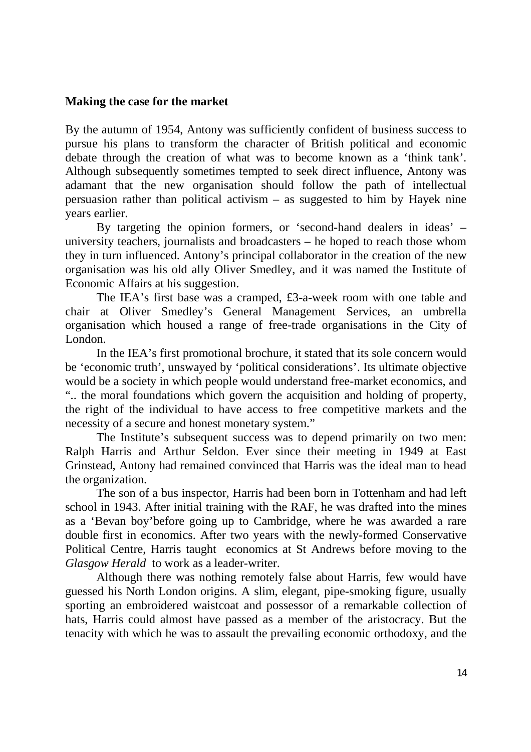#### **Making the case for the market**

By the autumn of 1954, Antony was sufficiently confident of business success to pursue his plans to transform the character of British political and economic debate through the creation of what was to become known as a 'think tank'. Although subsequently sometimes tempted to seek direct influence, Antony was adamant that the new organisation should follow the path of intellectual persuasion rather than political activism – as suggested to him by Hayek nine years earlier.

By targeting the opinion formers, or 'second-hand dealers in ideas' – university teachers, journalists and broadcasters – he hoped to reach those whom they in turn influenced. Antony's principal collaborator in the creation of the new organisation was his old ally Oliver Smedley, and it was named the Institute of Economic Affairs at his suggestion.

The IEA's first base was a cramped, £3-a-week room with one table and chair at Oliver Smedley's General Management Services, an umbrella organisation which housed a range of free-trade organisations in the City of London.

In the IEA's first promotional brochure, it stated that its sole concern would be 'economic truth', unswayed by 'political considerations'. Its ultimate objective would be a society in which people would understand free-market economics, and ".. the moral foundations which govern the acquisition and holding of property, the right of the individual to have access to free competitive markets and the necessity of a secure and honest monetary system."

 The Institute's subsequent success was to depend primarily on two men: Ralph Harris and Arthur Seldon. Ever since their meeting in 1949 at East Grinstead, Antony had remained convinced that Harris was the ideal man to head the organization.

The son of a bus inspector, Harris had been born in Tottenham and had left school in 1943. After initial training with the RAF, he was drafted into the mines as a 'Bevan boy'before going up to Cambridge, where he was awarded a rare double first in economics. After two years with the newly-formed Conservative Political Centre, Harris taught economics at St Andrews before moving to the *Glasgow Herald* to work as a leader-writer.

Although there was nothing remotely false about Harris, few would have guessed his North London origins. A slim, elegant, pipe-smoking figure, usually sporting an embroidered waistcoat and possessor of a remarkable collection of hats, Harris could almost have passed as a member of the aristocracy. But the tenacity with which he was to assault the prevailing economic orthodoxy, and the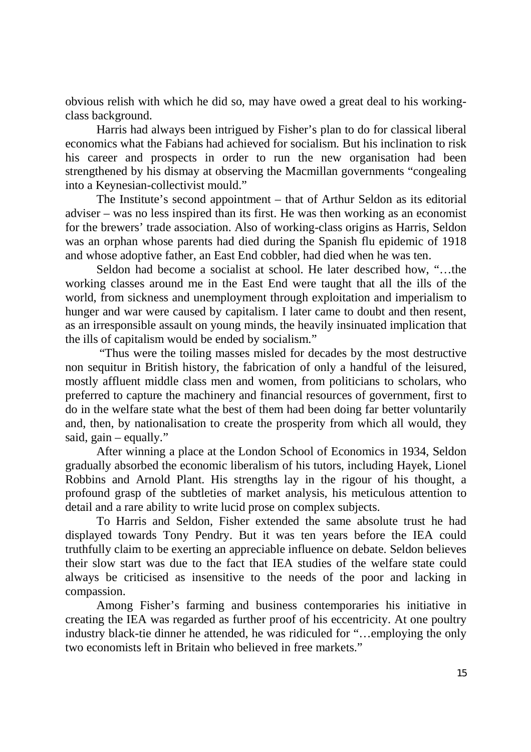obvious relish with which he did so, may have owed a great deal to his workingclass background.

Harris had always been intrigued by Fisher's plan to do for classical liberal economics what the Fabians had achieved for socialism. But his inclination to risk his career and prospects in order to run the new organisation had been strengthened by his dismay at observing the Macmillan governments "congealing into a Keynesian-collectivist mould."

The Institute's second appointment – that of Arthur Seldon as its editorial adviser – was no less inspired than its first. He was then working as an economist for the brewers' trade association. Also of working-class origins as Harris, Seldon was an orphan whose parents had died during the Spanish flu epidemic of 1918 and whose adoptive father, an East End cobbler, had died when he was ten.

Seldon had become a socialist at school. He later described how, "…the working classes around me in the East End were taught that all the ills of the world, from sickness and unemployment through exploitation and imperialism to hunger and war were caused by capitalism. I later came to doubt and then resent, as an irresponsible assault on young minds, the heavily insinuated implication that the ills of capitalism would be ended by socialism."

 "Thus were the toiling masses misled for decades by the most destructive non sequitur in British history, the fabrication of only a handful of the leisured, mostly affluent middle class men and women, from politicians to scholars, who preferred to capture the machinery and financial resources of government, first to do in the welfare state what the best of them had been doing far better voluntarily and, then, by nationalisation to create the prosperity from which all would, they said,  $gain - equally.$ "

After winning a place at the London School of Economics in 1934, Seldon gradually absorbed the economic liberalism of his tutors, including Hayek, Lionel Robbins and Arnold Plant. His strengths lay in the rigour of his thought, a profound grasp of the subtleties of market analysis, his meticulous attention to detail and a rare ability to write lucid prose on complex subjects.

 To Harris and Seldon, Fisher extended the same absolute trust he had displayed towards Tony Pendry. But it was ten years before the IEA could truthfully claim to be exerting an appreciable influence on debate. Seldon believes their slow start was due to the fact that IEA studies of the welfare state could always be criticised as insensitive to the needs of the poor and lacking in compassion.

Among Fisher's farming and business contemporaries his initiative in creating the IEA was regarded as further proof of his eccentricity. At one poultry industry black-tie dinner he attended, he was ridiculed for "…employing the only two economists left in Britain who believed in free markets."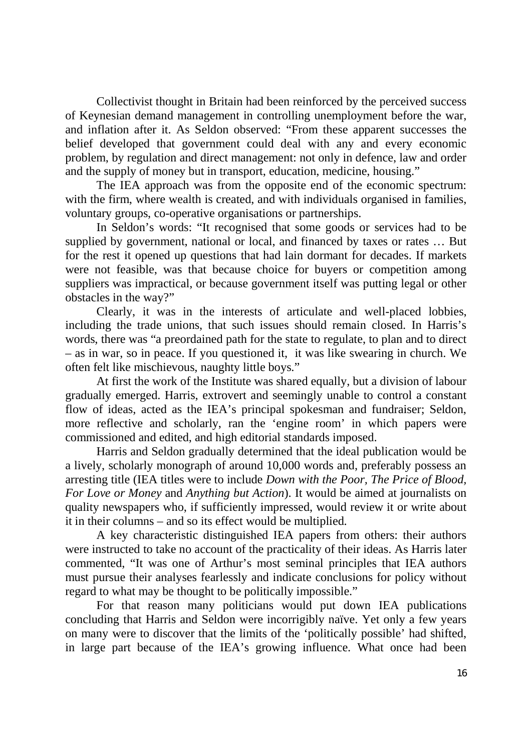Collectivist thought in Britain had been reinforced by the perceived success of Keynesian demand management in controlling unemployment before the war, and inflation after it. As Seldon observed: "From these apparent successes the belief developed that government could deal with any and every economic problem, by regulation and direct management: not only in defence, law and order and the supply of money but in transport, education, medicine, housing."

The IEA approach was from the opposite end of the economic spectrum: with the firm, where wealth is created, and with individuals organised in families, voluntary groups, co-operative organisations or partnerships.

In Seldon's words: "It recognised that some goods or services had to be supplied by government, national or local, and financed by taxes or rates … But for the rest it opened up questions that had lain dormant for decades. If markets were not feasible, was that because choice for buyers or competition among suppliers was impractical, or because government itself was putting legal or other obstacles in the way?"

 Clearly, it was in the interests of articulate and well-placed lobbies, including the trade unions, that such issues should remain closed. In Harris's words, there was "a preordained path for the state to regulate, to plan and to direct – as in war, so in peace. If you questioned it, it was like swearing in church. We often felt like mischievous, naughty little boys."

At first the work of the Institute was shared equally, but a division of labour gradually emerged. Harris, extrovert and seemingly unable to control a constant flow of ideas, acted as the IEA's principal spokesman and fundraiser; Seldon, more reflective and scholarly, ran the 'engine room' in which papers were commissioned and edited, and high editorial standards imposed.

Harris and Seldon gradually determined that the ideal publication would be a lively, scholarly monograph of around 10,000 words and, preferably possess an arresting title (IEA titles were to include *Down with the Poor, The Price of Blood, For Love or Money* and *Anything but Action*). It would be aimed at journalists on quality newspapers who, if sufficiently impressed, would review it or write about it in their columns – and so its effect would be multiplied.

 A key characteristic distinguished IEA papers from others: their authors were instructed to take no account of the practicality of their ideas. As Harris later commented, "It was one of Arthur's most seminal principles that IEA authors must pursue their analyses fearlessly and indicate conclusions for policy without regard to what may be thought to be politically impossible."

For that reason many politicians would put down IEA publications concluding that Harris and Seldon were incorrigibly naïve. Yet only a few years on many were to discover that the limits of the 'politically possible' had shifted, in large part because of the IEA's growing influence. What once had been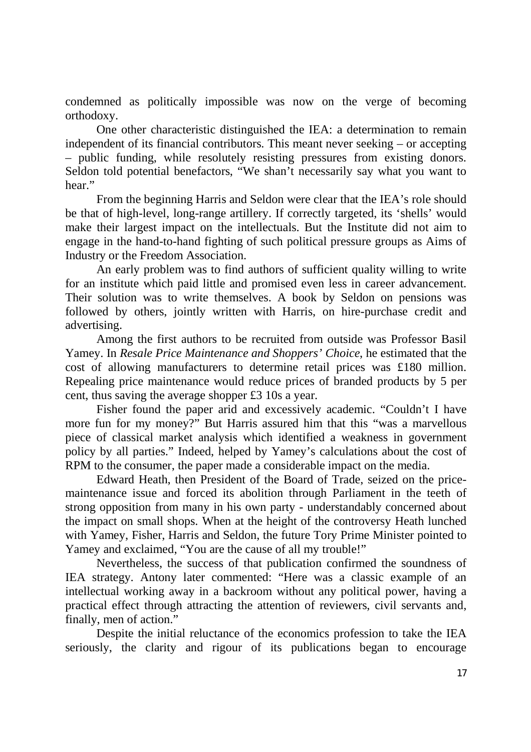condemned as politically impossible was now on the verge of becoming orthodoxy.

One other characteristic distinguished the IEA: a determination to remain independent of its financial contributors. This meant never seeking – or accepting – public funding, while resolutely resisting pressures from existing donors. Seldon told potential benefactors, "We shan't necessarily say what you want to hear."

From the beginning Harris and Seldon were clear that the IEA's role should be that of high-level, long-range artillery. If correctly targeted, its 'shells' would make their largest impact on the intellectuals. But the Institute did not aim to engage in the hand-to-hand fighting of such political pressure groups as Aims of Industry or the Freedom Association.

 An early problem was to find authors of sufficient quality willing to write for an institute which paid little and promised even less in career advancement. Their solution was to write themselves. A book by Seldon on pensions was followed by others, jointly written with Harris, on hire-purchase credit and advertising.

Among the first authors to be recruited from outside was Professor Basil Yamey. In *Resale Price Maintenance and Shoppers' Choice*, he estimated that the cost of allowing manufacturers to determine retail prices was £180 million. Repealing price maintenance would reduce prices of branded products by 5 per cent, thus saving the average shopper £3 10s a year.

Fisher found the paper arid and excessively academic. "Couldn't I have more fun for my money?" But Harris assured him that this "was a marvellous piece of classical market analysis which identified a weakness in government policy by all parties." Indeed, helped by Yamey's calculations about the cost of RPM to the consumer, the paper made a considerable impact on the media.

Edward Heath, then President of the Board of Trade, seized on the pricemaintenance issue and forced its abolition through Parliament in the teeth of strong opposition from many in his own party - understandably concerned about the impact on small shops. When at the height of the controversy Heath lunched with Yamey, Fisher, Harris and Seldon, the future Tory Prime Minister pointed to Yamey and exclaimed, "You are the cause of all my trouble!"

 Nevertheless, the success of that publication confirmed the soundness of IEA strategy. Antony later commented: "Here was a classic example of an intellectual working away in a backroom without any political power, having a practical effect through attracting the attention of reviewers, civil servants and, finally, men of action."

Despite the initial reluctance of the economics profession to take the IEA seriously, the clarity and rigour of its publications began to encourage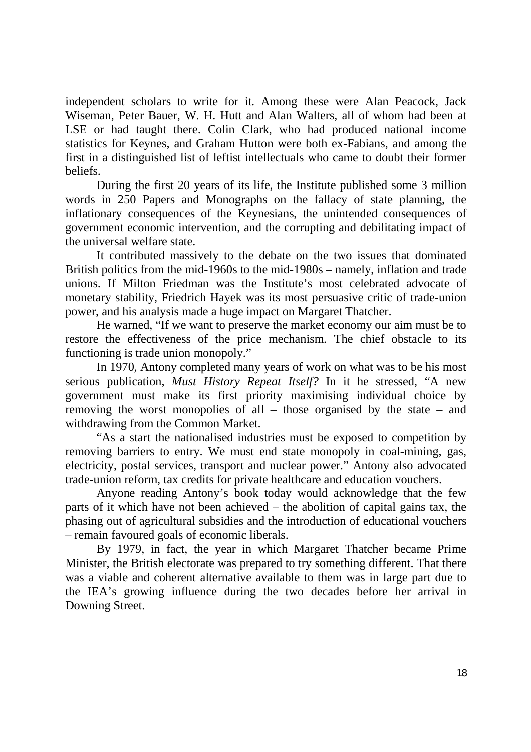independent scholars to write for it. Among these were Alan Peacock, Jack Wiseman, Peter Bauer, W. H. Hutt and Alan Walters, all of whom had been at LSE or had taught there. Colin Clark, who had produced national income statistics for Keynes, and Graham Hutton were both ex-Fabians, and among the first in a distinguished list of leftist intellectuals who came to doubt their former beliefs.

During the first 20 years of its life, the Institute published some 3 million words in 250 Papers and Monographs on the fallacy of state planning, the inflationary consequences of the Keynesians, the unintended consequences of government economic intervention, and the corrupting and debilitating impact of the universal welfare state.

It contributed massively to the debate on the two issues that dominated British politics from the mid-1960s to the mid-1980s – namely, inflation and trade unions. If Milton Friedman was the Institute's most celebrated advocate of monetary stability, Friedrich Hayek was its most persuasive critic of trade-union power, and his analysis made a huge impact on Margaret Thatcher.

He warned, "If we want to preserve the market economy our aim must be to restore the effectiveness of the price mechanism. The chief obstacle to its functioning is trade union monopoly."

In 1970, Antony completed many years of work on what was to be his most serious publication, *Must History Repeat Itself?* In it he stressed, "A new government must make its first priority maximising individual choice by removing the worst monopolies of all – those organised by the state – and withdrawing from the Common Market.

"As a start the nationalised industries must be exposed to competition by removing barriers to entry. We must end state monopoly in coal-mining, gas, electricity, postal services, transport and nuclear power." Antony also advocated trade-union reform, tax credits for private healthcare and education vouchers.

Anyone reading Antony's book today would acknowledge that the few parts of it which have not been achieved – the abolition of capital gains tax, the phasing out of agricultural subsidies and the introduction of educational vouchers – remain favoured goals of economic liberals.

By 1979, in fact, the year in which Margaret Thatcher became Prime Minister, the British electorate was prepared to try something different. That there was a viable and coherent alternative available to them was in large part due to the IEA's growing influence during the two decades before her arrival in Downing Street.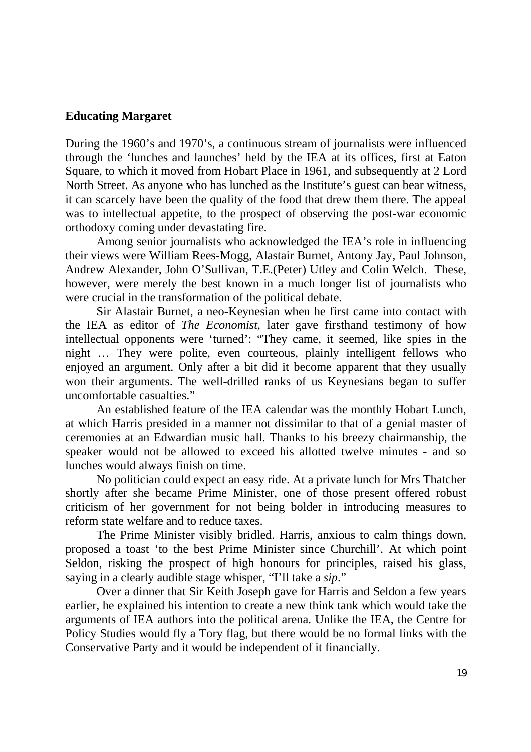#### **Educating Margaret**

During the 1960's and 1970's, a continuous stream of journalists were influenced through the 'lunches and launches' held by the IEA at its offices, first at Eaton Square, to which it moved from Hobart Place in 1961, and subsequently at 2 Lord North Street. As anyone who has lunched as the Institute's guest can bear witness, it can scarcely have been the quality of the food that drew them there. The appeal was to intellectual appetite, to the prospect of observing the post-war economic orthodoxy coming under devastating fire.

Among senior journalists who acknowledged the IEA's role in influencing their views were William Rees-Mogg, Alastair Burnet, Antony Jay, Paul Johnson, Andrew Alexander, John O'Sullivan, T.E.(Peter) Utley and Colin Welch. These, however, were merely the best known in a much longer list of journalists who were crucial in the transformation of the political debate.

Sir Alastair Burnet, a neo-Keynesian when he first came into contact with the IEA as editor of *The Economist*, later gave firsthand testimony of how intellectual opponents were 'turned': "They came, it seemed, like spies in the night … They were polite, even courteous, plainly intelligent fellows who enjoyed an argument. Only after a bit did it become apparent that they usually won their arguments. The well-drilled ranks of us Keynesians began to suffer uncomfortable casualties."

An established feature of the IEA calendar was the monthly Hobart Lunch, at which Harris presided in a manner not dissimilar to that of a genial master of ceremonies at an Edwardian music hall. Thanks to his breezy chairmanship, the speaker would not be allowed to exceed his allotted twelve minutes - and so lunches would always finish on time.

 No politician could expect an easy ride. At a private lunch for Mrs Thatcher shortly after she became Prime Minister, one of those present offered robust criticism of her government for not being bolder in introducing measures to reform state welfare and to reduce taxes.

The Prime Minister visibly bridled. Harris, anxious to calm things down, proposed a toast 'to the best Prime Minister since Churchill'. At which point Seldon, risking the prospect of high honours for principles, raised his glass, saying in a clearly audible stage whisper, "I'll take a *sip*."

 Over a dinner that Sir Keith Joseph gave for Harris and Seldon a few years earlier, he explained his intention to create a new think tank which would take the arguments of IEA authors into the political arena. Unlike the IEA, the Centre for Policy Studies would fly a Tory flag, but there would be no formal links with the Conservative Party and it would be independent of it financially.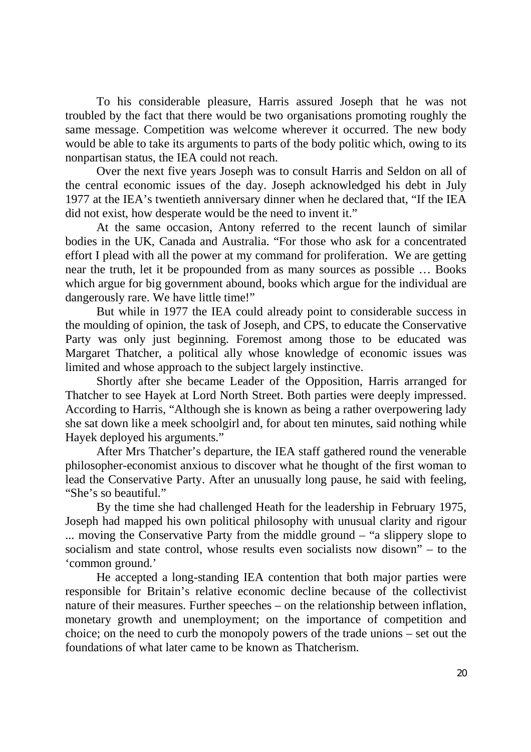To his considerable pleasure, Harris assured Joseph that he was not troubled by the fact that there would be two organisations promoting roughly the same message. Competition was welcome wherever it occurred. The new body would be able to take its arguments to parts of the body politic which, owing to its nonpartisan status, the IEA could not reach.

Over the next five years Joseph was to consult Harris and Seldon on all of the central economic issues of the day. Joseph acknowledged his debt in July 1977 at the IEA's twentieth anniversary dinner when he declared that, "If the IEA did not exist, how desperate would be the need to invent it."

 At the same occasion, Antony referred to the recent launch of similar bodies in the UK, Canada and Australia. "For those who ask for a concentrated effort I plead with all the power at my command for proliferation. We are getting near the truth, let it be propounded from as many sources as possible … Books which argue for big government abound, books which argue for the individual are dangerously rare. We have little time!"

But while in 1977 the IEA could already point to considerable success in the moulding of opinion, the task of Joseph, and CPS, to educate the Conservative Party was only just beginning. Foremost among those to be educated was Margaret Thatcher, a political ally whose knowledge of economic issues was limited and whose approach to the subject largely instinctive.

 Shortly after she became Leader of the Opposition, Harris arranged for Thatcher to see Hayek at Lord North Street. Both parties were deeply impressed. According to Harris, "Although she is known as being a rather overpowering lady she sat down like a meek schoolgirl and, for about ten minutes, said nothing while Hayek deployed his arguments."

After Mrs Thatcher's departure, the IEA staff gathered round the venerable philosopher-economist anxious to discover what he thought of the first woman to lead the Conservative Party. After an unusually long pause, he said with feeling, "She's so beautiful."

By the time she had challenged Heath for the leadership in February 1975, Joseph had mapped his own political philosophy with unusual clarity and rigour ... moving the Conservative Party from the middle ground – "a slippery slope to socialism and state control, whose results even socialists now disown" – to the 'common ground.'

 He accepted a long-standing IEA contention that both major parties were responsible for Britain's relative economic decline because of the collectivist nature of their measures. Further speeches – on the relationship between inflation, monetary growth and unemployment; on the importance of competition and choice; on the need to curb the monopoly powers of the trade unions – set out the foundations of what later came to be known as Thatcherism.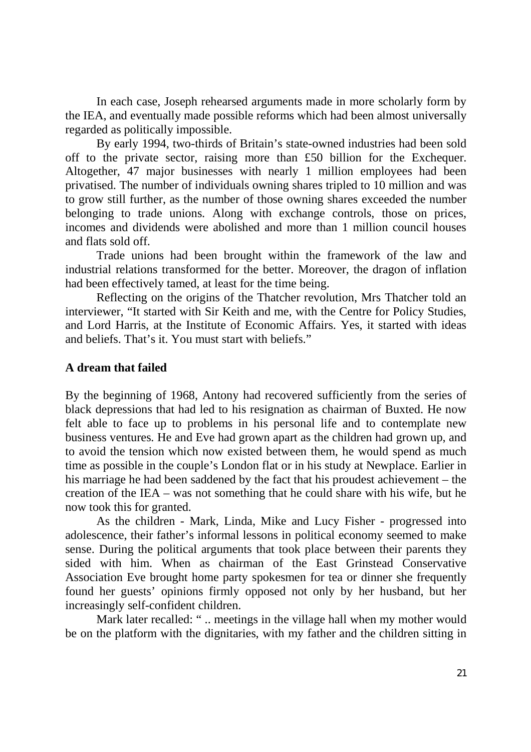In each case, Joseph rehearsed arguments made in more scholarly form by the IEA, and eventually made possible reforms which had been almost universally regarded as politically impossible.

By early 1994, two-thirds of Britain's state-owned industries had been sold off to the private sector, raising more than £50 billion for the Exchequer. Altogether, 47 major businesses with nearly 1 million employees had been privatised. The number of individuals owning shares tripled to 10 million and was to grow still further, as the number of those owning shares exceeded the number belonging to trade unions. Along with exchange controls, those on prices, incomes and dividends were abolished and more than 1 million council houses and flats sold off.

Trade unions had been brought within the framework of the law and industrial relations transformed for the better. Moreover, the dragon of inflation had been effectively tamed, at least for the time being.

Reflecting on the origins of the Thatcher revolution, Mrs Thatcher told an interviewer, "It started with Sir Keith and me, with the Centre for Policy Studies, and Lord Harris, at the Institute of Economic Affairs. Yes, it started with ideas and beliefs. That's it. You must start with beliefs."

#### **A dream that failed**

By the beginning of 1968, Antony had recovered sufficiently from the series of black depressions that had led to his resignation as chairman of Buxted. He now felt able to face up to problems in his personal life and to contemplate new business ventures. He and Eve had grown apart as the children had grown up, and to avoid the tension which now existed between them, he would spend as much time as possible in the couple's London flat or in his study at Newplace. Earlier in his marriage he had been saddened by the fact that his proudest achievement – the creation of the IEA – was not something that he could share with his wife, but he now took this for granted.

As the children - Mark, Linda, Mike and Lucy Fisher - progressed into adolescence, their father's informal lessons in political economy seemed to make sense. During the political arguments that took place between their parents they sided with him. When as chairman of the East Grinstead Conservative Association Eve brought home party spokesmen for tea or dinner she frequently found her guests' opinions firmly opposed not only by her husband, but her increasingly self-confident children.

Mark later recalled: "... meetings in the village hall when my mother would be on the platform with the dignitaries, with my father and the children sitting in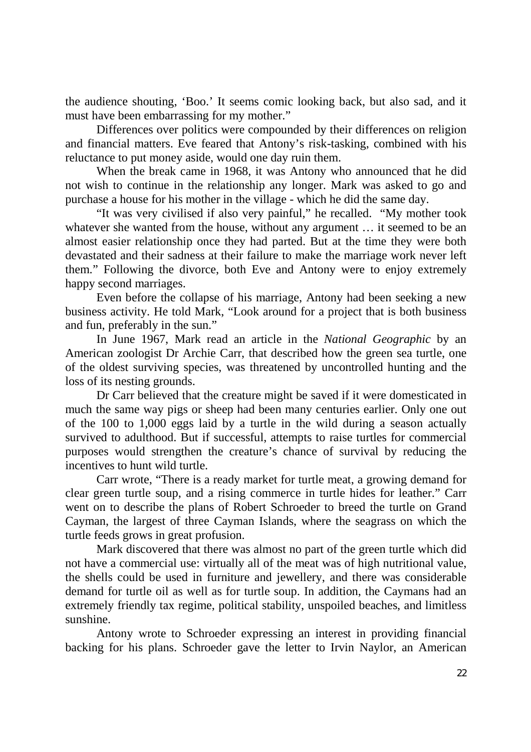the audience shouting, 'Boo.' It seems comic looking back, but also sad, and it must have been embarrassing for my mother."

Differences over politics were compounded by their differences on religion and financial matters. Eve feared that Antony's risk-tasking, combined with his reluctance to put money aside, would one day ruin them.

When the break came in 1968, it was Antony who announced that he did not wish to continue in the relationship any longer. Mark was asked to go and purchase a house for his mother in the village - which he did the same day.

"It was very civilised if also very painful," he recalled. "My mother took whatever she wanted from the house, without any argument ... it seemed to be an almost easier relationship once they had parted. But at the time they were both devastated and their sadness at their failure to make the marriage work never left them." Following the divorce, both Eve and Antony were to enjoy extremely happy second marriages.

Even before the collapse of his marriage, Antony had been seeking a new business activity. He told Mark, "Look around for a project that is both business and fun, preferably in the sun."

In June 1967, Mark read an article in the *National Geographic* by an American zoologist Dr Archie Carr, that described how the green sea turtle, one of the oldest surviving species, was threatened by uncontrolled hunting and the loss of its nesting grounds.

Dr Carr believed that the creature might be saved if it were domesticated in much the same way pigs or sheep had been many centuries earlier. Only one out of the 100 to 1,000 eggs laid by a turtle in the wild during a season actually survived to adulthood. But if successful, attempts to raise turtles for commercial purposes would strengthen the creature's chance of survival by reducing the incentives to hunt wild turtle.

Carr wrote, "There is a ready market for turtle meat, a growing demand for clear green turtle soup, and a rising commerce in turtle hides for leather." Carr went on to describe the plans of Robert Schroeder to breed the turtle on Grand Cayman, the largest of three Cayman Islands, where the seagrass on which the turtle feeds grows in great profusion.

Mark discovered that there was almost no part of the green turtle which did not have a commercial use: virtually all of the meat was of high nutritional value, the shells could be used in furniture and jewellery, and there was considerable demand for turtle oil as well as for turtle soup. In addition, the Caymans had an extremely friendly tax regime, political stability, unspoiled beaches, and limitless sunshine.

 Antony wrote to Schroeder expressing an interest in providing financial backing for his plans. Schroeder gave the letter to Irvin Naylor, an American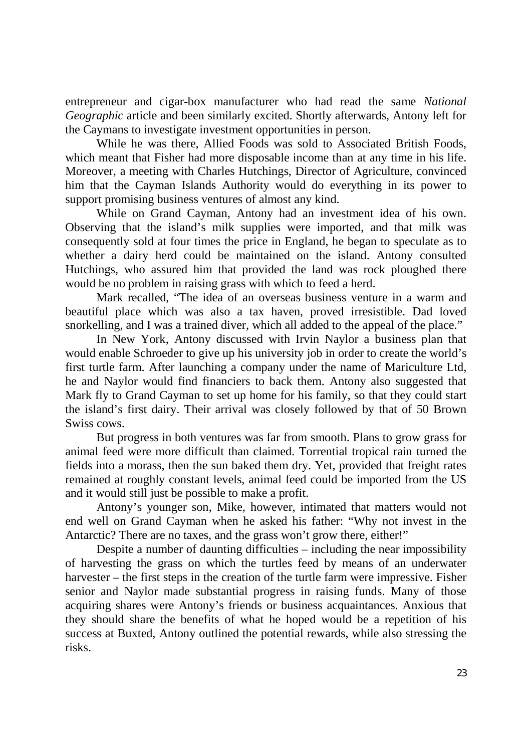entrepreneur and cigar-box manufacturer who had read the same *National Geographic* article and been similarly excited. Shortly afterwards, Antony left for the Caymans to investigate investment opportunities in person.

While he was there, Allied Foods was sold to Associated British Foods, which meant that Fisher had more disposable income than at any time in his life. Moreover, a meeting with Charles Hutchings, Director of Agriculture, convinced him that the Cayman Islands Authority would do everything in its power to support promising business ventures of almost any kind.

While on Grand Cayman, Antony had an investment idea of his own. Observing that the island's milk supplies were imported, and that milk was consequently sold at four times the price in England, he began to speculate as to whether a dairy herd could be maintained on the island. Antony consulted Hutchings, who assured him that provided the land was rock ploughed there would be no problem in raising grass with which to feed a herd.

Mark recalled, "The idea of an overseas business venture in a warm and beautiful place which was also a tax haven, proved irresistible. Dad loved snorkelling, and I was a trained diver, which all added to the appeal of the place."

In New York, Antony discussed with Irvin Naylor a business plan that would enable Schroeder to give up his university job in order to create the world's first turtle farm. After launching a company under the name of Mariculture Ltd, he and Naylor would find financiers to back them. Antony also suggested that Mark fly to Grand Cayman to set up home for his family, so that they could start the island's first dairy. Their arrival was closely followed by that of 50 Brown Swiss cows.

But progress in both ventures was far from smooth. Plans to grow grass for animal feed were more difficult than claimed. Torrential tropical rain turned the fields into a morass, then the sun baked them dry. Yet, provided that freight rates remained at roughly constant levels, animal feed could be imported from the US and it would still just be possible to make a profit.

Antony's younger son, Mike, however, intimated that matters would not end well on Grand Cayman when he asked his father: "Why not invest in the Antarctic? There are no taxes, and the grass won't grow there, either!"

Despite a number of daunting difficulties – including the near impossibility of harvesting the grass on which the turtles feed by means of an underwater harvester – the first steps in the creation of the turtle farm were impressive. Fisher senior and Naylor made substantial progress in raising funds. Many of those acquiring shares were Antony's friends or business acquaintances. Anxious that they should share the benefits of what he hoped would be a repetition of his success at Buxted, Antony outlined the potential rewards, while also stressing the risks.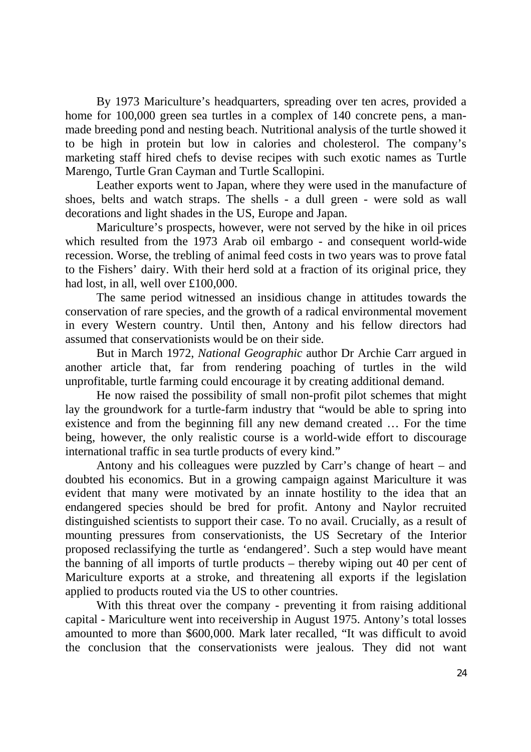By 1973 Mariculture's headquarters, spreading over ten acres, provided a home for 100,000 green sea turtles in a complex of 140 concrete pens, a manmade breeding pond and nesting beach. Nutritional analysis of the turtle showed it to be high in protein but low in calories and cholesterol. The company's marketing staff hired chefs to devise recipes with such exotic names as Turtle Marengo, Turtle Gran Cayman and Turtle Scallopini.

 Leather exports went to Japan, where they were used in the manufacture of shoes, belts and watch straps. The shells - a dull green - were sold as wall decorations and light shades in the US, Europe and Japan.

Mariculture's prospects, however, were not served by the hike in oil prices which resulted from the 1973 Arab oil embargo - and consequent world-wide recession. Worse, the trebling of animal feed costs in two years was to prove fatal to the Fishers' dairy. With their herd sold at a fraction of its original price, they had lost, in all, well over £100,000.

The same period witnessed an insidious change in attitudes towards the conservation of rare species, and the growth of a radical environmental movement in every Western country. Until then, Antony and his fellow directors had assumed that conservationists would be on their side.

But in March 1972, *National Geographic* author Dr Archie Carr argued in another article that, far from rendering poaching of turtles in the wild unprofitable, turtle farming could encourage it by creating additional demand.

He now raised the possibility of small non-profit pilot schemes that might lay the groundwork for a turtle-farm industry that "would be able to spring into existence and from the beginning fill any new demand created … For the time being, however, the only realistic course is a world-wide effort to discourage international traffic in sea turtle products of every kind."

Antony and his colleagues were puzzled by Carr's change of heart – and doubted his economics. But in a growing campaign against Mariculture it was evident that many were motivated by an innate hostility to the idea that an endangered species should be bred for profit. Antony and Naylor recruited distinguished scientists to support their case. To no avail. Crucially, as a result of mounting pressures from conservationists, the US Secretary of the Interior proposed reclassifying the turtle as 'endangered'. Such a step would have meant the banning of all imports of turtle products – thereby wiping out 40 per cent of Mariculture exports at a stroke, and threatening all exports if the legislation applied to products routed via the US to other countries.

With this threat over the company - preventing it from raising additional capital - Mariculture went into receivership in August 1975. Antony's total losses amounted to more than \$600,000. Mark later recalled, "It was difficult to avoid the conclusion that the conservationists were jealous. They did not want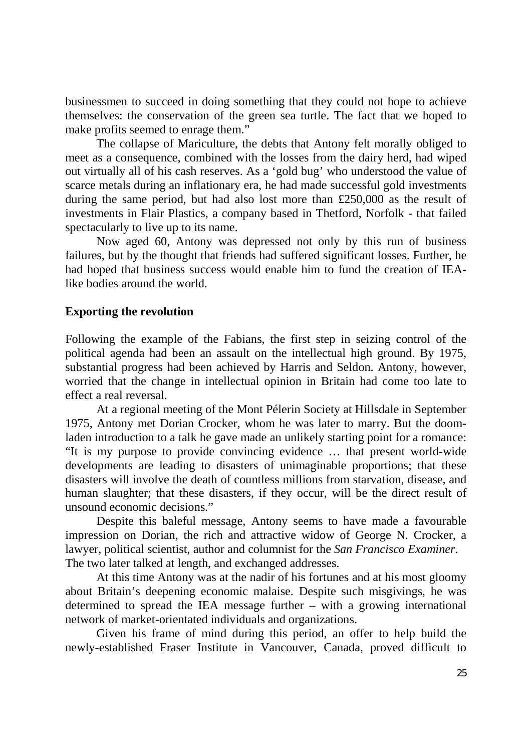businessmen to succeed in doing something that they could not hope to achieve themselves: the conservation of the green sea turtle. The fact that we hoped to make profits seemed to enrage them."

The collapse of Mariculture, the debts that Antony felt morally obliged to meet as a consequence, combined with the losses from the dairy herd, had wiped out virtually all of his cash reserves. As a 'gold bug' who understood the value of scarce metals during an inflationary era, he had made successful gold investments during the same period, but had also lost more than £250,000 as the result of investments in Flair Plastics, a company based in Thetford, Norfolk - that failed spectacularly to live up to its name.

Now aged 60, Antony was depressed not only by this run of business failures, but by the thought that friends had suffered significant losses. Further, he had hoped that business success would enable him to fund the creation of IEAlike bodies around the world.

#### **Exporting the revolution**

Following the example of the Fabians, the first step in seizing control of the political agenda had been an assault on the intellectual high ground. By 1975, substantial progress had been achieved by Harris and Seldon. Antony, however, worried that the change in intellectual opinion in Britain had come too late to effect a real reversal.

At a regional meeting of the Mont Pélerin Society at Hillsdale in September 1975, Antony met Dorian Crocker, whom he was later to marry. But the doomladen introduction to a talk he gave made an unlikely starting point for a romance: "It is my purpose to provide convincing evidence … that present world-wide developments are leading to disasters of unimaginable proportions; that these disasters will involve the death of countless millions from starvation, disease, and human slaughter; that these disasters, if they occur, will be the direct result of unsound economic decisions."

Despite this baleful message, Antony seems to have made a favourable impression on Dorian, the rich and attractive widow of George N. Crocker, a lawyer, political scientist, author and columnist for the *San Francisco Examiner*. The two later talked at length, and exchanged addresses.

At this time Antony was at the nadir of his fortunes and at his most gloomy about Britain's deepening economic malaise. Despite such misgivings, he was determined to spread the IEA message further – with a growing international network of market-orientated individuals and organizations.

Given his frame of mind during this period, an offer to help build the newly-established Fraser Institute in Vancouver, Canada, proved difficult to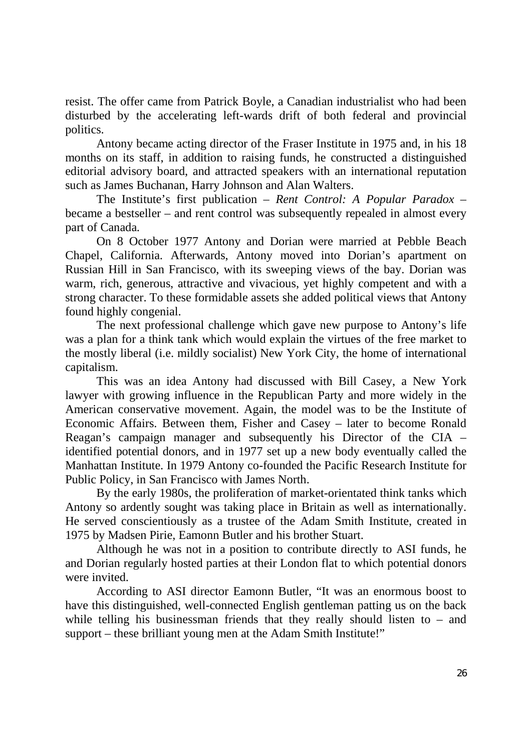resist. The offer came from Patrick Boyle, a Canadian industrialist who had been disturbed by the accelerating left-wards drift of both federal and provincial politics.

 Antony became acting director of the Fraser Institute in 1975 and, in his 18 months on its staff, in addition to raising funds, he constructed a distinguished editorial advisory board, and attracted speakers with an international reputation such as James Buchanan, Harry Johnson and Alan Walters.

 The Institute's first publication – *Rent Control: A Popular Paradox* – became a bestseller – and rent control was subsequently repealed in almost every part of Canada.

 On 8 October 1977 Antony and Dorian were married at Pebble Beach Chapel, California. Afterwards, Antony moved into Dorian's apartment on Russian Hill in San Francisco, with its sweeping views of the bay. Dorian was warm, rich, generous, attractive and vivacious, yet highly competent and with a strong character. To these formidable assets she added political views that Antony found highly congenial.

The next professional challenge which gave new purpose to Antony's life was a plan for a think tank which would explain the virtues of the free market to the mostly liberal (i.e. mildly socialist) New York City, the home of international capitalism.

This was an idea Antony had discussed with Bill Casey, a New York lawyer with growing influence in the Republican Party and more widely in the American conservative movement. Again, the model was to be the Institute of Economic Affairs. Between them, Fisher and Casey – later to become Ronald Reagan's campaign manager and subsequently his Director of the CIA – identified potential donors, and in 1977 set up a new body eventually called the Manhattan Institute. In 1979 Antony co-founded the Pacific Research Institute for Public Policy, in San Francisco with James North.

By the early 1980s, the proliferation of market-orientated think tanks which Antony so ardently sought was taking place in Britain as well as internationally. He served conscientiously as a trustee of the Adam Smith Institute, created in 1975 by Madsen Pirie, Eamonn Butler and his brother Stuart.

Although he was not in a position to contribute directly to ASI funds, he and Dorian regularly hosted parties at their London flat to which potential donors were invited.

According to ASI director Eamonn Butler, "It was an enormous boost to have this distinguished, well-connected English gentleman patting us on the back while telling his businessman friends that they really should listen to  $-$  and support – these brilliant young men at the Adam Smith Institute!"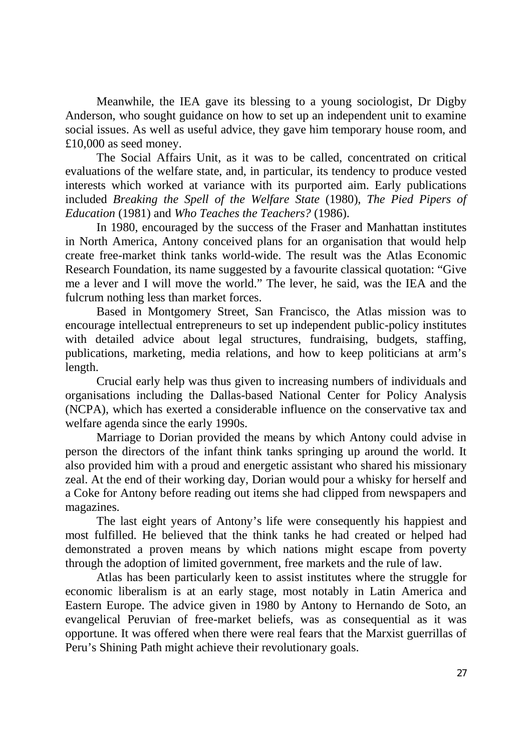Meanwhile, the IEA gave its blessing to a young sociologist, Dr Digby Anderson, who sought guidance on how to set up an independent unit to examine social issues. As well as useful advice, they gave him temporary house room, and £10,000 as seed money.

The Social Affairs Unit, as it was to be called, concentrated on critical evaluations of the welfare state, and, in particular, its tendency to produce vested interests which worked at variance with its purported aim. Early publications included *Breaking the Spell of the Welfare State* (1980), *The Pied Pipers of Education* (1981) and *Who Teaches the Teachers?* (1986).

 In 1980, encouraged by the success of the Fraser and Manhattan institutes in North America, Antony conceived plans for an organisation that would help create free-market think tanks world-wide. The result was the Atlas Economic Research Foundation, its name suggested by a favourite classical quotation: "Give me a lever and I will move the world." The lever, he said, was the IEA and the fulcrum nothing less than market forces.

Based in Montgomery Street, San Francisco, the Atlas mission was to encourage intellectual entrepreneurs to set up independent public-policy institutes with detailed advice about legal structures, fundraising, budgets, staffing, publications, marketing, media relations, and how to keep politicians at arm's length.

Crucial early help was thus given to increasing numbers of individuals and organisations including the Dallas-based National Center for Policy Analysis (NCPA), which has exerted a considerable influence on the conservative tax and welfare agenda since the early 1990s.

Marriage to Dorian provided the means by which Antony could advise in person the directors of the infant think tanks springing up around the world. It also provided him with a proud and energetic assistant who shared his missionary zeal. At the end of their working day, Dorian would pour a whisky for herself and a Coke for Antony before reading out items she had clipped from newspapers and magazines.

The last eight years of Antony's life were consequently his happiest and most fulfilled. He believed that the think tanks he had created or helped had demonstrated a proven means by which nations might escape from poverty through the adoption of limited government, free markets and the rule of law.

Atlas has been particularly keen to assist institutes where the struggle for economic liberalism is at an early stage, most notably in Latin America and Eastern Europe. The advice given in 1980 by Antony to Hernando de Soto, an evangelical Peruvian of free-market beliefs, was as consequential as it was opportune. It was offered when there were real fears that the Marxist guerrillas of Peru's Shining Path might achieve their revolutionary goals.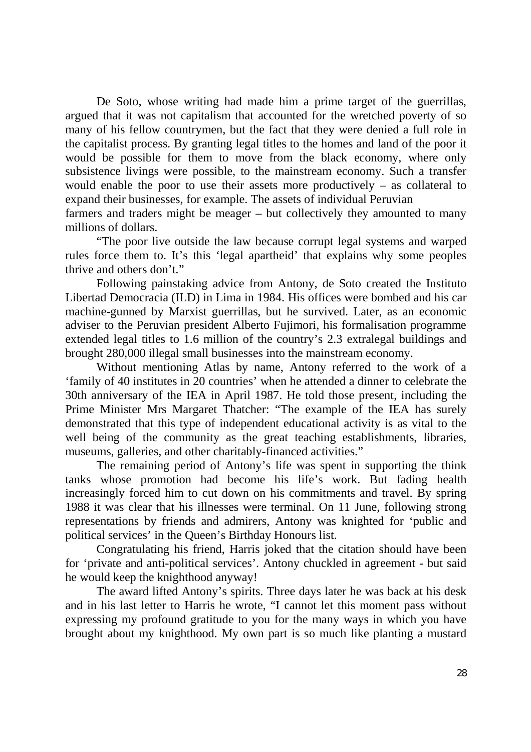De Soto, whose writing had made him a prime target of the guerrillas, argued that it was not capitalism that accounted for the wretched poverty of so many of his fellow countrymen, but the fact that they were denied a full role in the capitalist process. By granting legal titles to the homes and land of the poor it would be possible for them to move from the black economy, where only subsistence livings were possible, to the mainstream economy. Such a transfer would enable the poor to use their assets more productively – as collateral to expand their businesses, for example. The assets of individual Peruvian

farmers and traders might be meager – but collectively they amounted to many millions of dollars.

"The poor live outside the law because corrupt legal systems and warped rules force them to. It's this 'legal apartheid' that explains why some peoples thrive and others don't."

Following painstaking advice from Antony, de Soto created the Instituto Libertad Democracia (ILD) in Lima in 1984. His offices were bombed and his car machine-gunned by Marxist guerrillas, but he survived. Later, as an economic adviser to the Peruvian president Alberto Fujimori, his formalisation programme extended legal titles to 1.6 million of the country's 2.3 extralegal buildings and brought 280,000 illegal small businesses into the mainstream economy.

 Without mentioning Atlas by name, Antony referred to the work of a 'family of 40 institutes in 20 countries' when he attended a dinner to celebrate the 30th anniversary of the IEA in April 1987. He told those present, including the Prime Minister Mrs Margaret Thatcher: "The example of the IEA has surely demonstrated that this type of independent educational activity is as vital to the well being of the community as the great teaching establishments, libraries, museums, galleries, and other charitably-financed activities."

The remaining period of Antony's life was spent in supporting the think tanks whose promotion had become his life's work. But fading health increasingly forced him to cut down on his commitments and travel. By spring 1988 it was clear that his illnesses were terminal. On 11 June, following strong representations by friends and admirers, Antony was knighted for 'public and political services' in the Queen's Birthday Honours list.

Congratulating his friend, Harris joked that the citation should have been for 'private and anti-political services'. Antony chuckled in agreement - but said he would keep the knighthood anyway!

 The award lifted Antony's spirits. Three days later he was back at his desk and in his last letter to Harris he wrote, "I cannot let this moment pass without expressing my profound gratitude to you for the many ways in which you have brought about my knighthood. My own part is so much like planting a mustard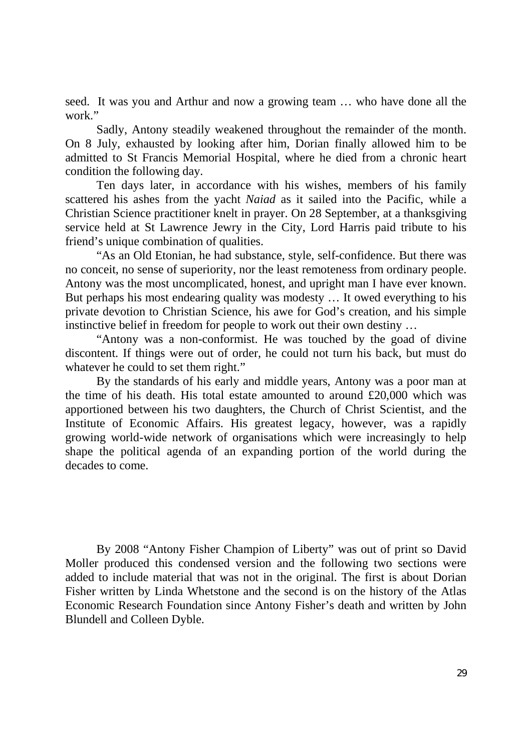seed. It was you and Arthur and now a growing team … who have done all the work"

Sadly, Antony steadily weakened throughout the remainder of the month. On 8 July, exhausted by looking after him, Dorian finally allowed him to be admitted to St Francis Memorial Hospital, where he died from a chronic heart condition the following day.

Ten days later, in accordance with his wishes, members of his family scattered his ashes from the yacht *Naiad* as it sailed into the Pacific, while a Christian Science practitioner knelt in prayer. On 28 September, at a thanksgiving service held at St Lawrence Jewry in the City, Lord Harris paid tribute to his friend's unique combination of qualities.

 "As an Old Etonian, he had substance, style, self-confidence. But there was no conceit, no sense of superiority, nor the least remoteness from ordinary people. Antony was the most uncomplicated, honest, and upright man I have ever known. But perhaps his most endearing quality was modesty … It owed everything to his private devotion to Christian Science, his awe for God's creation, and his simple instinctive belief in freedom for people to work out their own destiny …

"Antony was a non-conformist. He was touched by the goad of divine discontent. If things were out of order, he could not turn his back, but must do whatever he could to set them right."

By the standards of his early and middle years, Antony was a poor man at the time of his death. His total estate amounted to around £20,000 which was apportioned between his two daughters, the Church of Christ Scientist, and the Institute of Economic Affairs. His greatest legacy, however, was a rapidly growing world-wide network of organisations which were increasingly to help shape the political agenda of an expanding portion of the world during the decades to come.

By 2008 "Antony Fisher Champion of Liberty" was out of print so David Moller produced this condensed version and the following two sections were added to include material that was not in the original. The first is about Dorian Fisher written by Linda Whetstone and the second is on the history of the Atlas Economic Research Foundation since Antony Fisher's death and written by John Blundell and Colleen Dyble.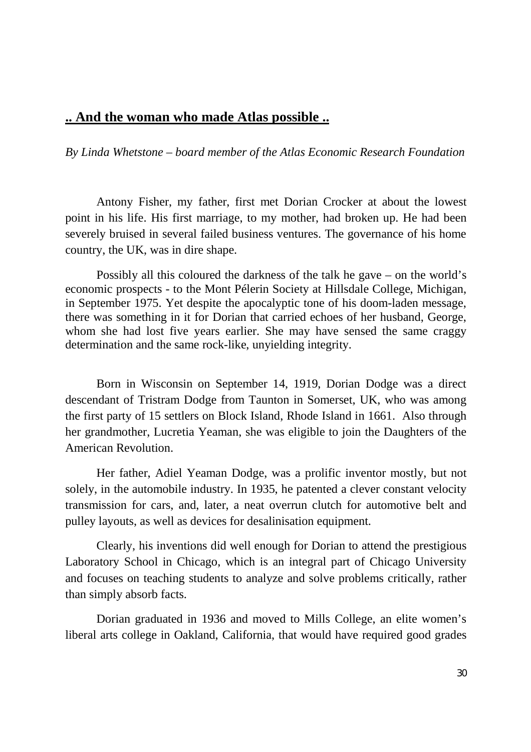# **.. And the woman who made Atlas possible ..**

*By Linda Whetstone – board member of the Atlas Economic Research Foundation* 

Antony Fisher, my father, first met Dorian Crocker at about the lowest point in his life. His first marriage, to my mother, had broken up. He had been severely bruised in several failed business ventures. The governance of his home country, the UK, was in dire shape.

Possibly all this coloured the darkness of the talk he gave – on the world's economic prospects - to the Mont Pélerin Society at Hillsdale College, Michigan, in September 1975. Yet despite the apocalyptic tone of his doom-laden message, there was something in it for Dorian that carried echoes of her husband, George, whom she had lost five years earlier. She may have sensed the same craggy determination and the same rock-like, unyielding integrity.

Born in Wisconsin on September 14, 1919, Dorian Dodge was a direct descendant of Tristram Dodge from Taunton in Somerset, UK, who was among the first party of 15 settlers on Block Island, Rhode Island in 1661. Also through her grandmother, Lucretia Yeaman, she was eligible to join the Daughters of the American Revolution.

Her father, Adiel Yeaman Dodge, was a prolific inventor mostly, but not solely, in the automobile industry. In 1935, he patented a clever constant velocity transmission for cars, and, later, a neat overrun clutch for automotive belt and pulley layouts, as well as devices for desalinisation equipment.

Clearly, his inventions did well enough for Dorian to attend the prestigious Laboratory School in Chicago, which is an integral part of Chicago University and focuses on teaching students to analyze and solve problems critically, rather than simply absorb facts.

Dorian graduated in 1936 and moved to Mills College, an elite women's liberal arts college in Oakland, California, that would have required good grades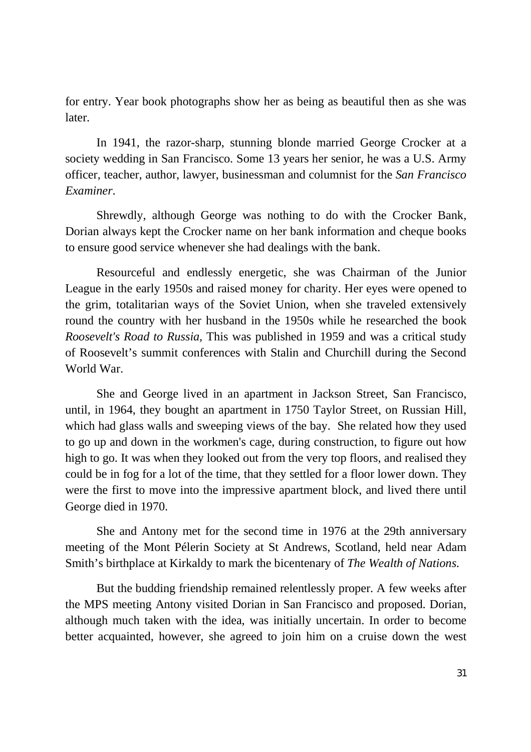for entry. Year book photographs show her as being as beautiful then as she was later.

 In 1941, the razor-sharp, stunning blonde married George Crocker at a society wedding in San Francisco. Some 13 years her senior, he was a U.S. Army officer, teacher, author, lawyer, businessman and columnist for the *San Francisco Examiner*.

Shrewdly, although George was nothing to do with the Crocker Bank, Dorian always kept the Crocker name on her bank information and cheque books to ensure good service whenever she had dealings with the bank.

Resourceful and endlessly energetic, she was Chairman of the Junior League in the early 1950s and raised money for charity. Her eyes were opened to the grim, totalitarian ways of the Soviet Union, when she traveled extensively round the country with her husband in the 1950s while he researched the book *Roosevelt's Road to Russia,* This was published in 1959 and was a critical study of Roosevelt's summit conferences with Stalin and Churchill during the Second World War.

She and George lived in an apartment in Jackson Street, San Francisco, until, in 1964, they bought an apartment in 1750 Taylor Street, on Russian Hill, which had glass walls and sweeping views of the bay. She related how they used to go up and down in the workmen's cage, during construction, to figure out how high to go. It was when they looked out from the very top floors, and realised they could be in fog for a lot of the time, that they settled for a floor lower down. They were the first to move into the impressive apartment block, and lived there until George died in 1970.

She and Antony met for the second time in 1976 at the 29th anniversary meeting of the Mont Pélerin Society at St Andrews, Scotland, held near Adam Smith's birthplace at Kirkaldy to mark the bicentenary of *The Wealth of Nations*.

But the budding friendship remained relentlessly proper. A few weeks after the MPS meeting Antony visited Dorian in San Francisco and proposed. Dorian, although much taken with the idea, was initially uncertain. In order to become better acquainted, however, she agreed to join him on a cruise down the west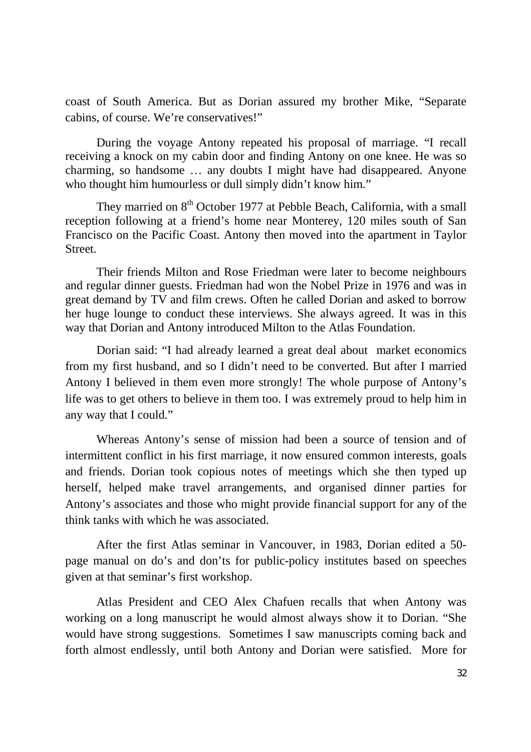coast of South America. But as Dorian assured my brother Mike, "Separate cabins, of course. We're conservatives!"

During the voyage Antony repeated his proposal of marriage. "I recall receiving a knock on my cabin door and finding Antony on one knee. He was so charming, so handsome … any doubts I might have had disappeared. Anyone who thought him humourless or dull simply didn't know him."

They married on 8<sup>th</sup> October 1977 at Pebble Beach, California, with a small reception following at a friend's home near Monterey, 120 miles south of San Francisco on the Pacific Coast. Antony then moved into the apartment in Taylor Street.

Their friends Milton and Rose Friedman were later to become neighbours and regular dinner guests. Friedman had won the Nobel Prize in 1976 and was in great demand by TV and film crews. Often he called Dorian and asked to borrow her huge lounge to conduct these interviews. She always agreed. It was in this way that Dorian and Antony introduced Milton to the Atlas Foundation.

 Dorian said: "I had already learned a great deal about market economics from my first husband, and so I didn't need to be converted. But after I married Antony I believed in them even more strongly! The whole purpose of Antony's life was to get others to believe in them too. I was extremely proud to help him in any way that I could."

 Whereas Antony's sense of mission had been a source of tension and of intermittent conflict in his first marriage, it now ensured common interests, goals and friends. Dorian took copious notes of meetings which she then typed up herself, helped make travel arrangements, and organised dinner parties for Antony's associates and those who might provide financial support for any of the think tanks with which he was associated.

After the first Atlas seminar in Vancouver, in 1983, Dorian edited a 50 page manual on do's and don'ts for public-policy institutes based on speeches given at that seminar's first workshop.

Atlas President and CEO Alex Chafuen recalls that when Antony was working on a long manuscript he would almost always show it to Dorian. "She would have strong suggestions. Sometimes I saw manuscripts coming back and forth almost endlessly, until both Antony and Dorian were satisfied. More for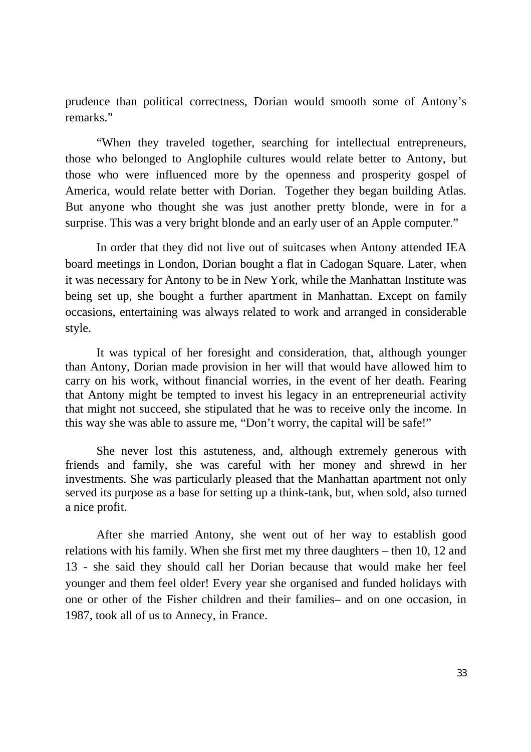prudence than political correctness, Dorian would smooth some of Antony's remarks."

"When they traveled together, searching for intellectual entrepreneurs, those who belonged to Anglophile cultures would relate better to Antony, but those who were influenced more by the openness and prosperity gospel of America, would relate better with Dorian. Together they began building Atlas. But anyone who thought she was just another pretty blonde, were in for a surprise. This was a very bright blonde and an early user of an Apple computer."

In order that they did not live out of suitcases when Antony attended IEA board meetings in London, Dorian bought a flat in Cadogan Square. Later, when it was necessary for Antony to be in New York, while the Manhattan Institute was being set up, she bought a further apartment in Manhattan. Except on family occasions, entertaining was always related to work and arranged in considerable style.

 It was typical of her foresight and consideration, that, although younger than Antony, Dorian made provision in her will that would have allowed him to carry on his work, without financial worries, in the event of her death. Fearing that Antony might be tempted to invest his legacy in an entrepreneurial activity that might not succeed, she stipulated that he was to receive only the income. In this way she was able to assure me, "Don't worry, the capital will be safe!"

She never lost this astuteness, and, although extremely generous with friends and family, she was careful with her money and shrewd in her investments. She was particularly pleased that the Manhattan apartment not only served its purpose as a base for setting up a think-tank, but, when sold, also turned a nice profit.

After she married Antony, she went out of her way to establish good relations with his family. When she first met my three daughters – then 10, 12 and 13 - she said they should call her Dorian because that would make her feel younger and them feel older! Every year she organised and funded holidays with one or other of the Fisher children and their families– and on one occasion, in 1987, took all of us to Annecy, in France.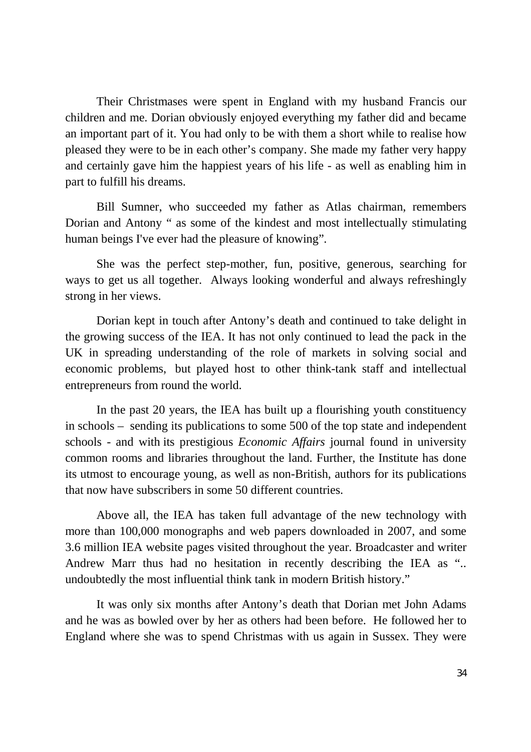Their Christmases were spent in England with my husband Francis our children and me. Dorian obviously enjoyed everything my father did and became an important part of it. You had only to be with them a short while to realise how pleased they were to be in each other's company. She made my father very happy and certainly gave him the happiest years of his life - as well as enabling him in part to fulfill his dreams.

Bill Sumner, who succeeded my father as Atlas chairman, remembers Dorian and Antony " as some of the kindest and most intellectually stimulating human beings I've ever had the pleasure of knowing".

She was the perfect step-mother, fun, positive, generous, searching for ways to get us all together. Always looking wonderful and always refreshingly strong in her views.

Dorian kept in touch after Antony's death and continued to take delight in the growing success of the IEA. It has not only continued to lead the pack in the UK in spreading understanding of the role of markets in solving social and economic problems, but played host to other think-tank staff and intellectual entrepreneurs from round the world.

In the past 20 years, the IEA has built up a flourishing youth constituency in schools – sending its publications to some 500 of the top state and independent schools - and with its prestigious *Economic Affairs* journal found in university common rooms and libraries throughout the land. Further, the Institute has done its utmost to encourage young, as well as non-British, authors for its publications that now have subscribers in some 50 different countries.

Above all, the IEA has taken full advantage of the new technology with more than 100,000 monographs and web papers downloaded in 2007, and some 3.6 million IEA website pages visited throughout the year. Broadcaster and writer Andrew Marr thus had no hesitation in recently describing the IEA as ".. undoubtedly the most influential think tank in modern British history."

It was only six months after Antony's death that Dorian met John Adams and he was as bowled over by her as others had been before. He followed her to England where she was to spend Christmas with us again in Sussex. They were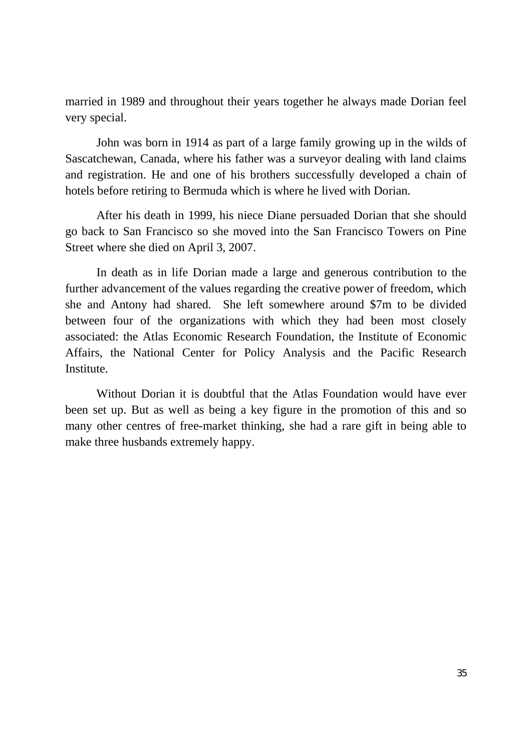married in 1989 and throughout their years together he always made Dorian feel very special.

John was born in 1914 as part of a large family growing up in the wilds of Sascatchewan, Canada, where his father was a surveyor dealing with land claims and registration. He and one of his brothers successfully developed a chain of hotels before retiring to Bermuda which is where he lived with Dorian.

After his death in 1999, his niece Diane persuaded Dorian that she should go back to San Francisco so she moved into the San Francisco Towers on Pine Street where she died on April 3, 2007.

In death as in life Dorian made a large and generous contribution to the further advancement of the values regarding the creative power of freedom, which she and Antony had shared. She left somewhere around \$7m to be divided between four of the organizations with which they had been most closely associated: the Atlas Economic Research Foundation, the Institute of Economic Affairs, the National Center for Policy Analysis and the Pacific Research Institute.

 Without Dorian it is doubtful that the Atlas Foundation would have ever been set up. But as well as being a key figure in the promotion of this and so many other centres of free-market thinking, she had a rare gift in being able to make three husbands extremely happy.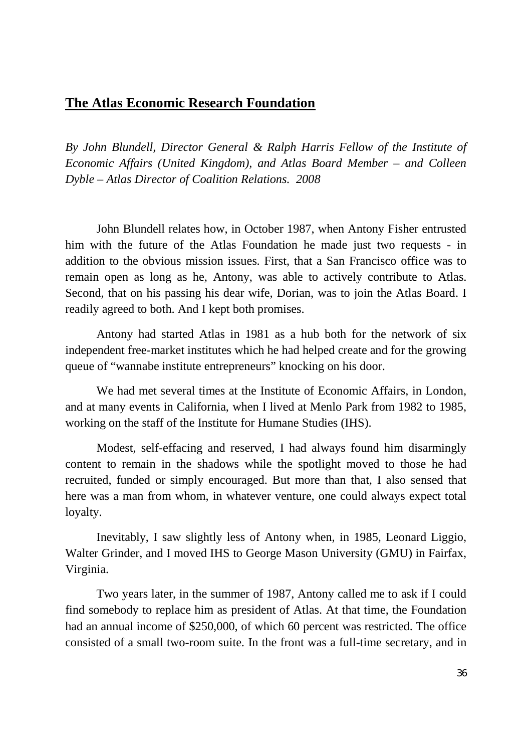# **The Atlas Economic Research Foundation**

*By John Blundell, Director General & Ralph Harris Fellow of the Institute of Economic Affairs (United Kingdom), and Atlas Board Member – and Colleen Dyble – Atlas Director of Coalition Relations. 2008* 

John Blundell relates how, in October 1987, when Antony Fisher entrusted him with the future of the Atlas Foundation he made just two requests - in addition to the obvious mission issues. First, that a San Francisco office was to remain open as long as he, Antony, was able to actively contribute to Atlas. Second, that on his passing his dear wife, Dorian, was to join the Atlas Board. I readily agreed to both. And I kept both promises.

 Antony had started Atlas in 1981 as a hub both for the network of six independent free-market institutes which he had helped create and for the growing queue of "wannabe institute entrepreneurs" knocking on his door.

 We had met several times at the Institute of Economic Affairs, in London, and at many events in California, when I lived at Menlo Park from 1982 to 1985, working on the staff of the Institute for Humane Studies (IHS).

Modest, self-effacing and reserved, I had always found him disarmingly content to remain in the shadows while the spotlight moved to those he had recruited, funded or simply encouraged. But more than that, I also sensed that here was a man from whom, in whatever venture, one could always expect total loyalty.

 Inevitably, I saw slightly less of Antony when, in 1985, Leonard Liggio, Walter Grinder, and I moved IHS to George Mason University (GMU) in Fairfax, Virginia.

 Two years later, in the summer of 1987, Antony called me to ask if I could find somebody to replace him as president of Atlas. At that time, the Foundation had an annual income of \$250,000, of which 60 percent was restricted. The office consisted of a small two-room suite. In the front was a full-time secretary, and in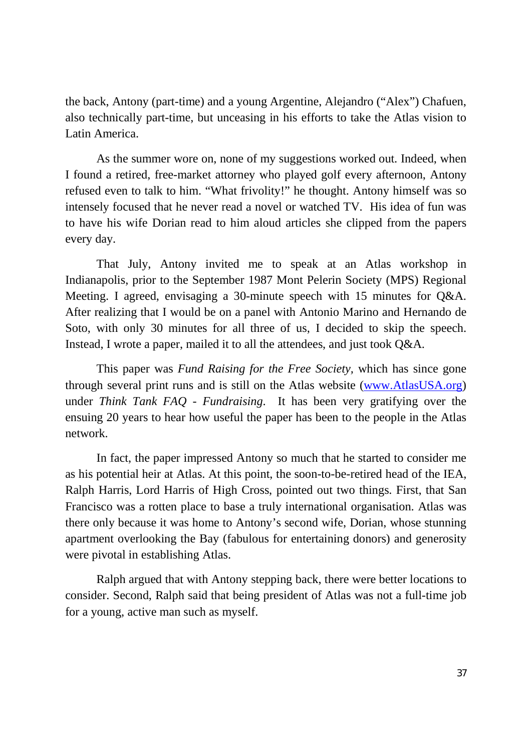the back, Antony (part-time) and a young Argentine, Alejandro ("Alex") Chafuen, also technically part-time, but unceasing in his efforts to take the Atlas vision to Latin America.

 As the summer wore on, none of my suggestions worked out. Indeed, when I found a retired, free-market attorney who played golf every afternoon, Antony refused even to talk to him. "What frivolity!" he thought. Antony himself was so intensely focused that he never read a novel or watched TV. His idea of fun was to have his wife Dorian read to him aloud articles she clipped from the papers every day.

 That July, Antony invited me to speak at an Atlas workshop in Indianapolis, prior to the September 1987 Mont Pelerin Society (MPS) Regional Meeting. I agreed, envisaging a 30-minute speech with 15 minutes for Q&A. After realizing that I would be on a panel with Antonio Marino and Hernando de Soto, with only 30 minutes for all three of us, I decided to skip the speech. Instead, I wrote a paper, mailed it to all the attendees, and just took Q&A.

 This paper was *Fund Raising for the Free Society,* which has since gone through several print runs and is still on the Atlas website (www.AtlasUSA.org) under *Think Tank FAQ - Fundraising*. It has been very gratifying over the ensuing 20 years to hear how useful the paper has been to the people in the Atlas network.

 In fact, the paper impressed Antony so much that he started to consider me as his potential heir at Atlas. At this point, the soon-to-be-retired head of the IEA, Ralph Harris, Lord Harris of High Cross, pointed out two things. First, that San Francisco was a rotten place to base a truly international organisation. Atlas was there only because it was home to Antony's second wife, Dorian, whose stunning apartment overlooking the Bay (fabulous for entertaining donors) and generosity were pivotal in establishing Atlas.

 Ralph argued that with Antony stepping back, there were better locations to consider. Second, Ralph said that being president of Atlas was not a full-time job for a young, active man such as myself.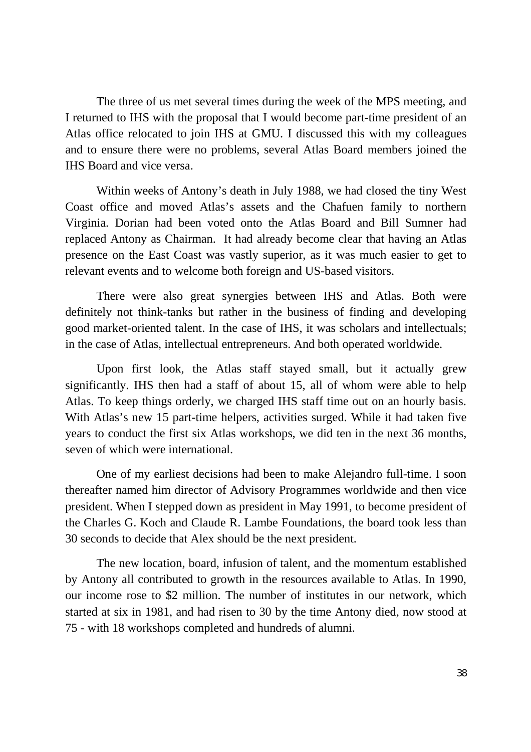The three of us met several times during the week of the MPS meeting, and I returned to IHS with the proposal that I would become part-time president of an Atlas office relocated to join IHS at GMU. I discussed this with my colleagues and to ensure there were no problems, several Atlas Board members joined the IHS Board and vice versa.

Within weeks of Antony's death in July 1988, we had closed the tiny West Coast office and moved Atlas's assets and the Chafuen family to northern Virginia. Dorian had been voted onto the Atlas Board and Bill Sumner had replaced Antony as Chairman. It had already become clear that having an Atlas presence on the East Coast was vastly superior, as it was much easier to get to relevant events and to welcome both foreign and US-based visitors.

There were also great synergies between IHS and Atlas. Both were definitely not think-tanks but rather in the business of finding and developing good market-oriented talent. In the case of IHS, it was scholars and intellectuals; in the case of Atlas, intellectual entrepreneurs. And both operated worldwide.

Upon first look, the Atlas staff stayed small, but it actually grew significantly. IHS then had a staff of about 15, all of whom were able to help Atlas. To keep things orderly, we charged IHS staff time out on an hourly basis. With Atlas's new 15 part-time helpers, activities surged. While it had taken five years to conduct the first six Atlas workshops, we did ten in the next 36 months, seven of which were international.

One of my earliest decisions had been to make Alejandro full-time. I soon thereafter named him director of Advisory Programmes worldwide and then vice president. When I stepped down as president in May 1991, to become president of the Charles G. Koch and Claude R. Lambe Foundations, the board took less than 30 seconds to decide that Alex should be the next president.

The new location, board, infusion of talent, and the momentum established by Antony all contributed to growth in the resources available to Atlas. In 1990, our income rose to \$2 million. The number of institutes in our network, which started at six in 1981, and had risen to 30 by the time Antony died, now stood at 75 - with 18 workshops completed and hundreds of alumni.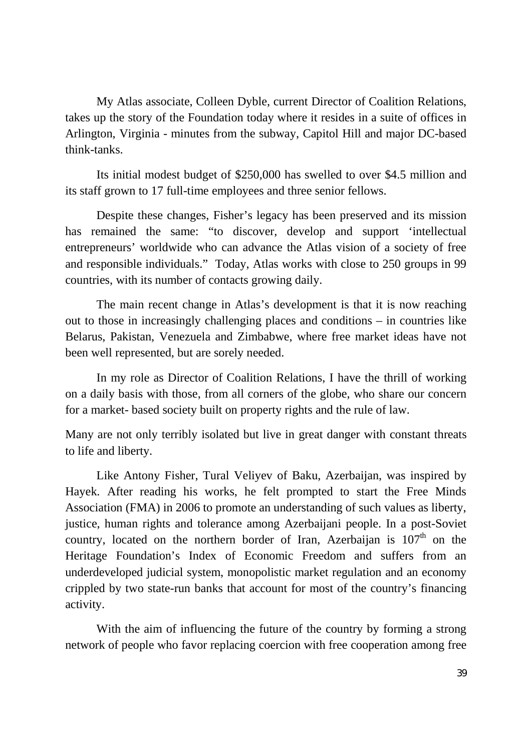My Atlas associate, Colleen Dyble, current Director of Coalition Relations, takes up the story of the Foundation today where it resides in a suite of offices in Arlington, Virginia - minutes from the subway, Capitol Hill and major DC-based think-tanks.

Its initial modest budget of \$250,000 has swelled to over \$4.5 million and its staff grown to 17 full-time employees and three senior fellows.

 Despite these changes, Fisher's legacy has been preserved and its mission has remained the same: "to discover, develop and support 'intellectual entrepreneurs' worldwide who can advance the Atlas vision of a society of free and responsible individuals." Today, Atlas works with close to 250 groups in 99 countries, with its number of contacts growing daily.

 The main recent change in Atlas's development is that it is now reaching out to those in increasingly challenging places and conditions – in countries like Belarus, Pakistan, Venezuela and Zimbabwe, where free market ideas have not been well represented, but are sorely needed.

In my role as Director of Coalition Relations, I have the thrill of working on a daily basis with those, from all corners of the globe, who share our concern for a market- based society built on property rights and the rule of law.

Many are not only terribly isolated but live in great danger with constant threats to life and liberty.

 Like Antony Fisher, Tural Veliyev of Baku, Azerbaijan, was inspired by Hayek. After reading his works, he felt prompted to start the Free Minds Association (FMA) in 2006 to promote an understanding of such values as liberty, justice, human rights and tolerance among Azerbaijani people. In a post-Soviet country, located on the northern border of Iran, Azerbaijan is  $107<sup>th</sup>$  on the Heritage Foundation's Index of Economic Freedom and suffers from an underdeveloped judicial system, monopolistic market regulation and an economy crippled by two state-run banks that account for most of the country's financing activity.

With the aim of influencing the future of the country by forming a strong network of people who favor replacing coercion with free cooperation among free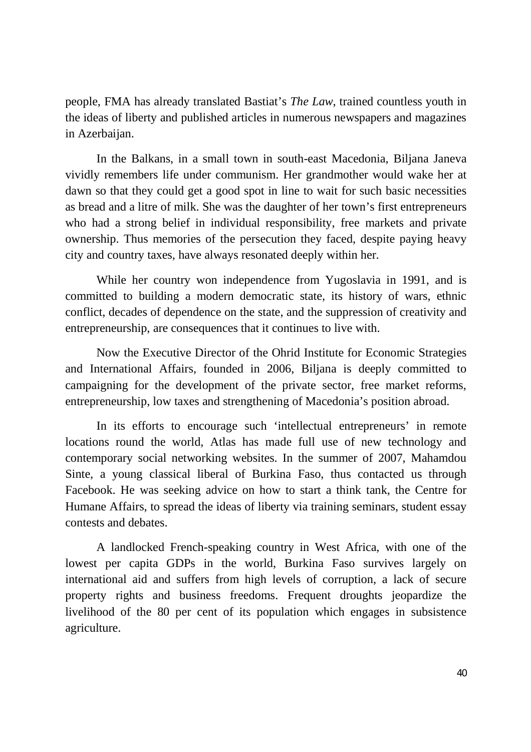people, FMA has already translated Bastiat's *The Law*, trained countless youth in the ideas of liberty and published articles in numerous newspapers and magazines in Azerbaijan.

In the Balkans, in a small town in south-east Macedonia, Biljana Janeva vividly remembers life under communism. Her grandmother would wake her at dawn so that they could get a good spot in line to wait for such basic necessities as bread and a litre of milk. She was the daughter of her town's first entrepreneurs who had a strong belief in individual responsibility, free markets and private ownership. Thus memories of the persecution they faced, despite paying heavy city and country taxes, have always resonated deeply within her.

While her country won independence from Yugoslavia in 1991, and is committed to building a modern democratic state, its history of wars, ethnic conflict, decades of dependence on the state, and the suppression of creativity and entrepreneurship, are consequences that it continues to live with.

Now the Executive Director of the Ohrid Institute for Economic Strategies and International Affairs, founded in 2006, Biljana is deeply committed to campaigning for the development of the private sector, free market reforms, entrepreneurship, low taxes and strengthening of Macedonia's position abroad.

In its efforts to encourage such 'intellectual entrepreneurs' in remote locations round the world, Atlas has made full use of new technology and contemporary social networking websites. In the summer of 2007, Mahamdou Sinte, a young classical liberal of Burkina Faso, thus contacted us through Facebook. He was seeking advice on how to start a think tank, the Centre for Humane Affairs, to spread the ideas of liberty via training seminars, student essay contests and debates.

A landlocked French-speaking country in West Africa, with one of the lowest per capita GDPs in the world, Burkina Faso survives largely on international aid and suffers from high levels of corruption, a lack of secure property rights and business freedoms. Frequent droughts jeopardize the livelihood of the 80 per cent of its population which engages in subsistence agriculture.